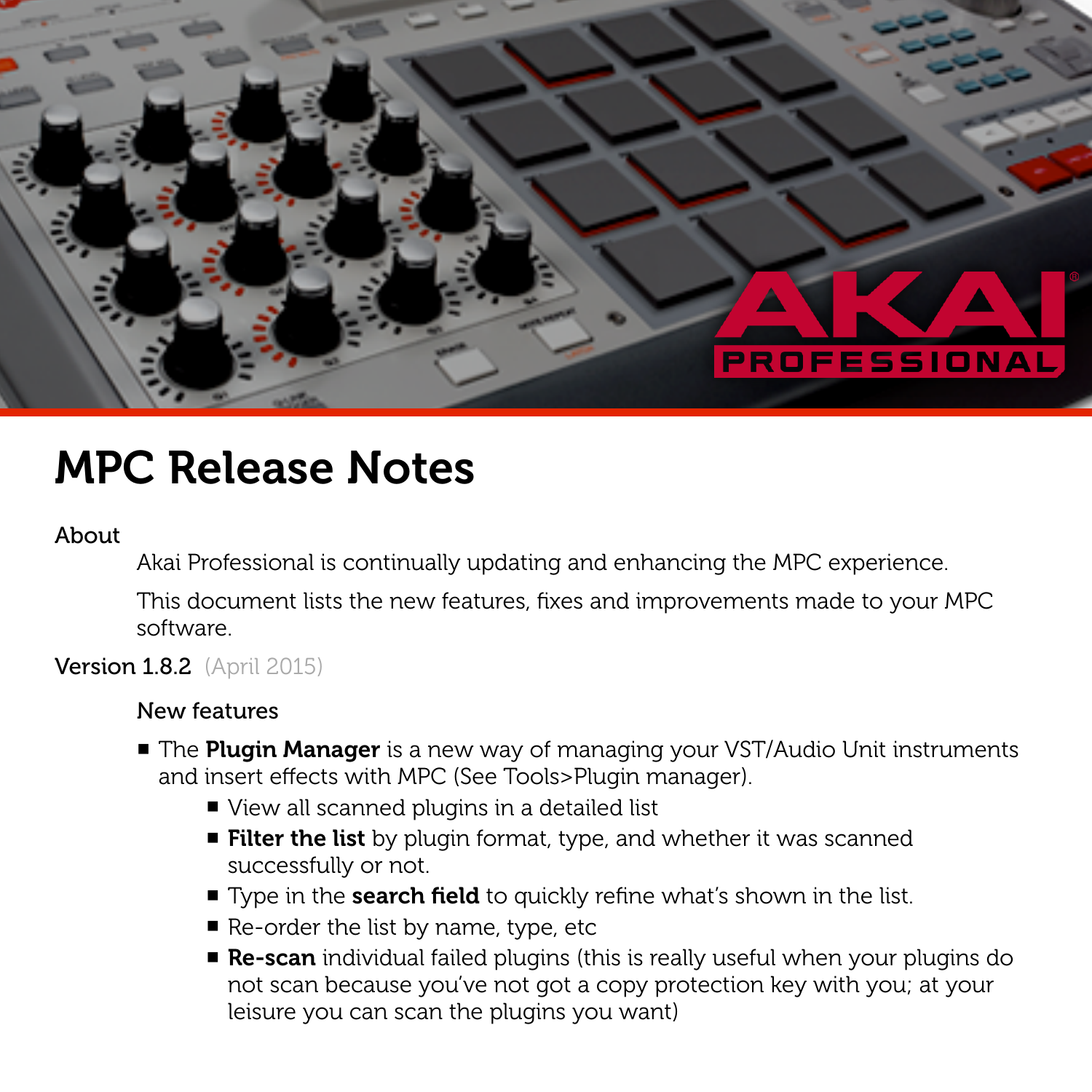

# MPC Release Notes

#### About

Akai Professional is continually updating and enhancing the MPC experience.

This document lists the new features, fixes and improvements made to your MPC software.

# **Version 1.8.2** (April 2015)

- The Plugin Manager is a new way of managing your VST/Audio Unit instruments and insert effects with MPC (See Tools>Plugin manager).
	- View all scanned plugins in a detailed list
	- Filter the list by plugin format, type, and whether it was scanned successfully or not.
	- Type in the **search field** to quickly refine what's shown in the list.
	- $\blacksquare$  Re-order the list by name, type, etc
	- Re-scan individual failed plugins (this is really useful when your plugins do not scan because you've not got a copy protection key with you; at your leisure you can scan the plugins you want)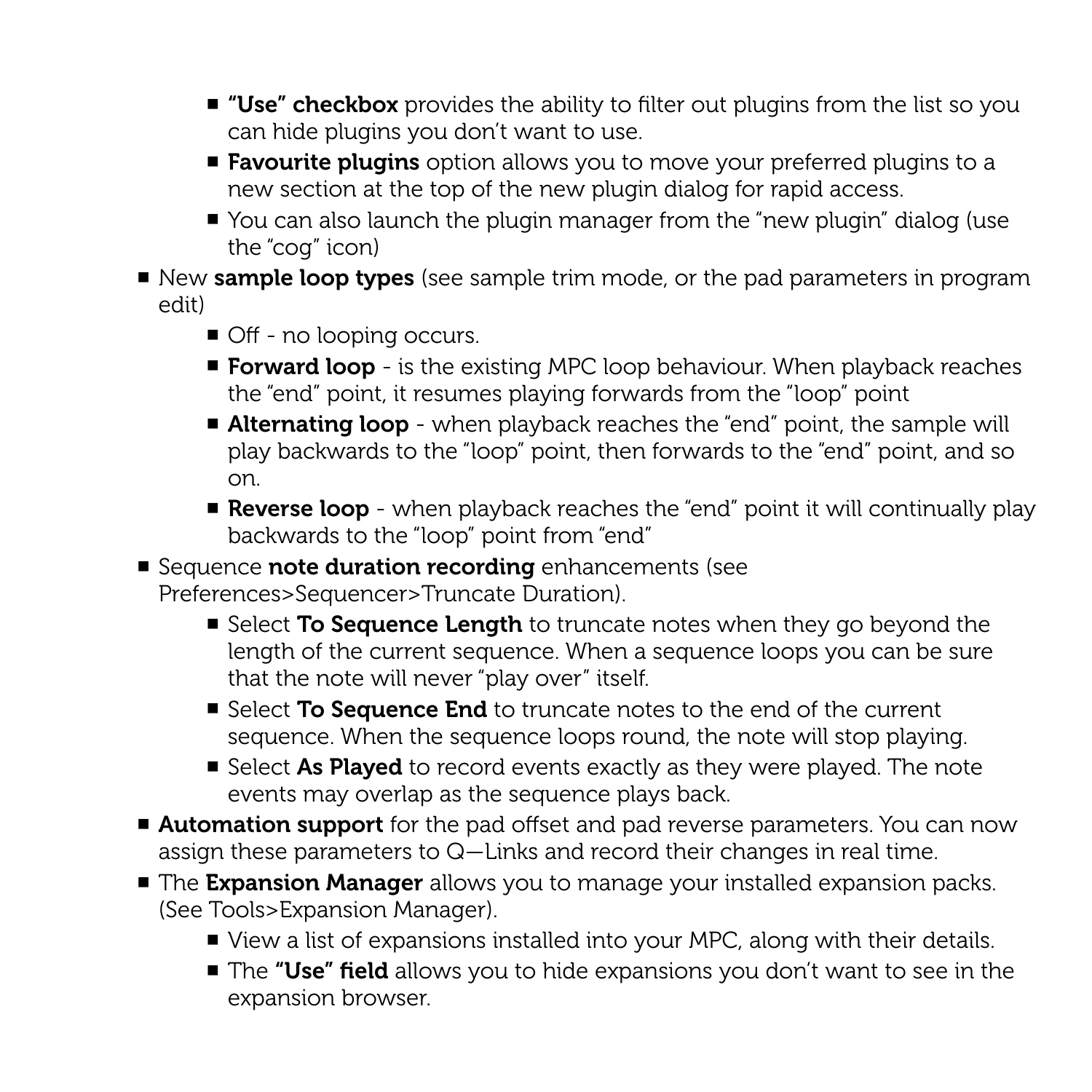- "Use" checkbox provides the ability to filter out plugins from the list so you can hide plugins you don't want to use.
- Favourite plugins option allows you to move your preferred plugins to a new section at the top of the new plugin dialog for rapid access.
- You can also launch the plugin manager from the "new plugin" dialog (use the "cog" icon)
- New sample loop types (see sample trim mode, or the pad parameters in program edit)
	- Off no looping occurs.
	- Forward loop is the existing MPC loop behaviour. When playback reaches the "end" point, it resumes playing forwards from the "loop" point
	- Alternating loop when playback reaches the "end" point, the sample will play backwards to the "loop" point, then forwards to the "end" point, and so on.
	- Reverse loop when playback reaches the "end" point it will continually play backwards to the "loop" point from "end"
- Sequence note duration recording enhancements (see Preferences>Sequencer>Truncate Duration).
	- Select To Sequence Length to truncate notes when they go beyond the length of the current sequence. When a sequence loops you can be sure that the note will never "play over" itself.
	- Select To Sequence End to truncate notes to the end of the current sequence. When the sequence loops round, the note will stop playing.
	- Select As Played to record events exactly as they were played. The note events may overlap as the sequence plays back.
- Automation support for the pad offset and pad reverse parameters. You can now assign these parameters to Q—Links and record their changes in real time.
- The Expansion Manager allows you to manage your installed expansion packs. (See Tools>Expansion Manager).
	- View a list of expansions installed into your MPC, along with their details.
	- The "Use" field allows you to hide expansions you don't want to see in the expansion browser.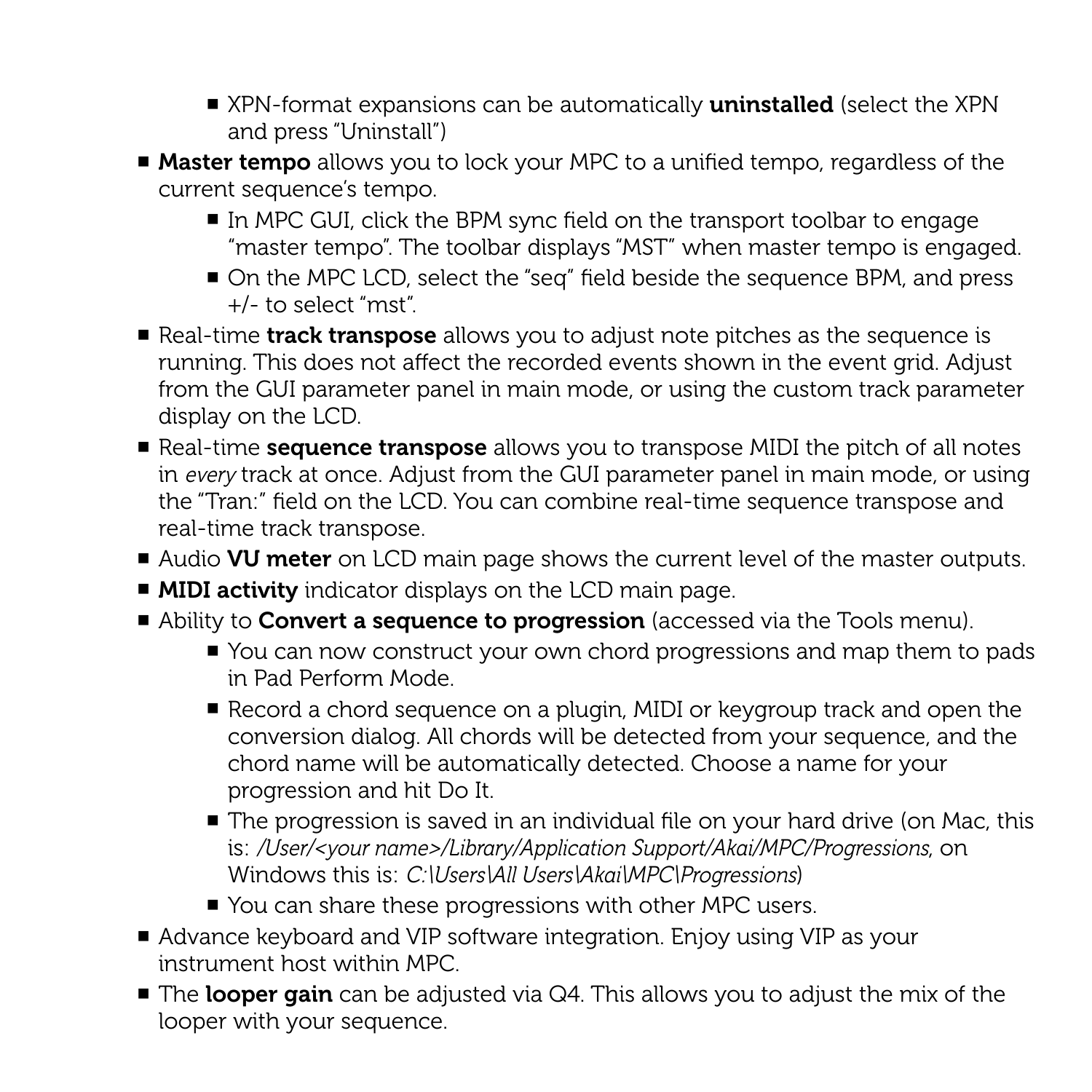- XPN-format expansions can be automatically **uninstalled** (select the XPN and press "Uninstall")
- Master tempo allows you to lock your MPC to a unified tempo, regardless of the current sequence's tempo.
	- In MPC GUI, click the BPM sync field on the transport toolbar to engage "master tempo". The toolbar displays "MST" when master tempo is engaged.
	- On the MPC LCD, select the "seq" field beside the sequence BPM, and press +/- to select "mst".
- Real-time track transpose allows you to adjust note pitches as the sequence is running. This does not affect the recorded events shown in the event grid. Adjust from the GUI parameter panel in main mode, or using the custom track parameter display on the LCD.
- Real-time **sequence transpose** allows you to transpose MIDI the pitch of all notes in *every* track at once. Adjust from the GUI parameter panel in main mode, or using the "Tran:" field on the LCD. You can combine real-time sequence transpose and real-time track transpose.
- Audio VU meter on LCD main page shows the current level of the master outputs.
- MIDI activity indicator displays on the LCD main page.
- Ability to **Convert a sequence to progression** (accessed via the Tools menu).
	- You can now construct your own chord progressions and map them to pads in Pad Perform Mode.
	- Record a chord sequence on a plugin, MIDI or keygroup track and open the conversion dialog. All chords will be detected from your sequence, and the chord name will be automatically detected. Choose a name for your progression and hit Do It.
	- The progression is saved in an individual file on your hard drive (on Mac, this is: */User/<your name>/Library/Application Support/Akai/MPC/Progressions*, on Windows this is: *C:\Users\All Users\Akai\MPC\Progressions*)
	- You can share these progressions with other MPC users.
- Advance keyboard and VIP software integration. Enjoy using VIP as your instrument host within MPC.
- The looper gain can be adjusted via Q4. This allows you to adjust the mix of the looper with your sequence.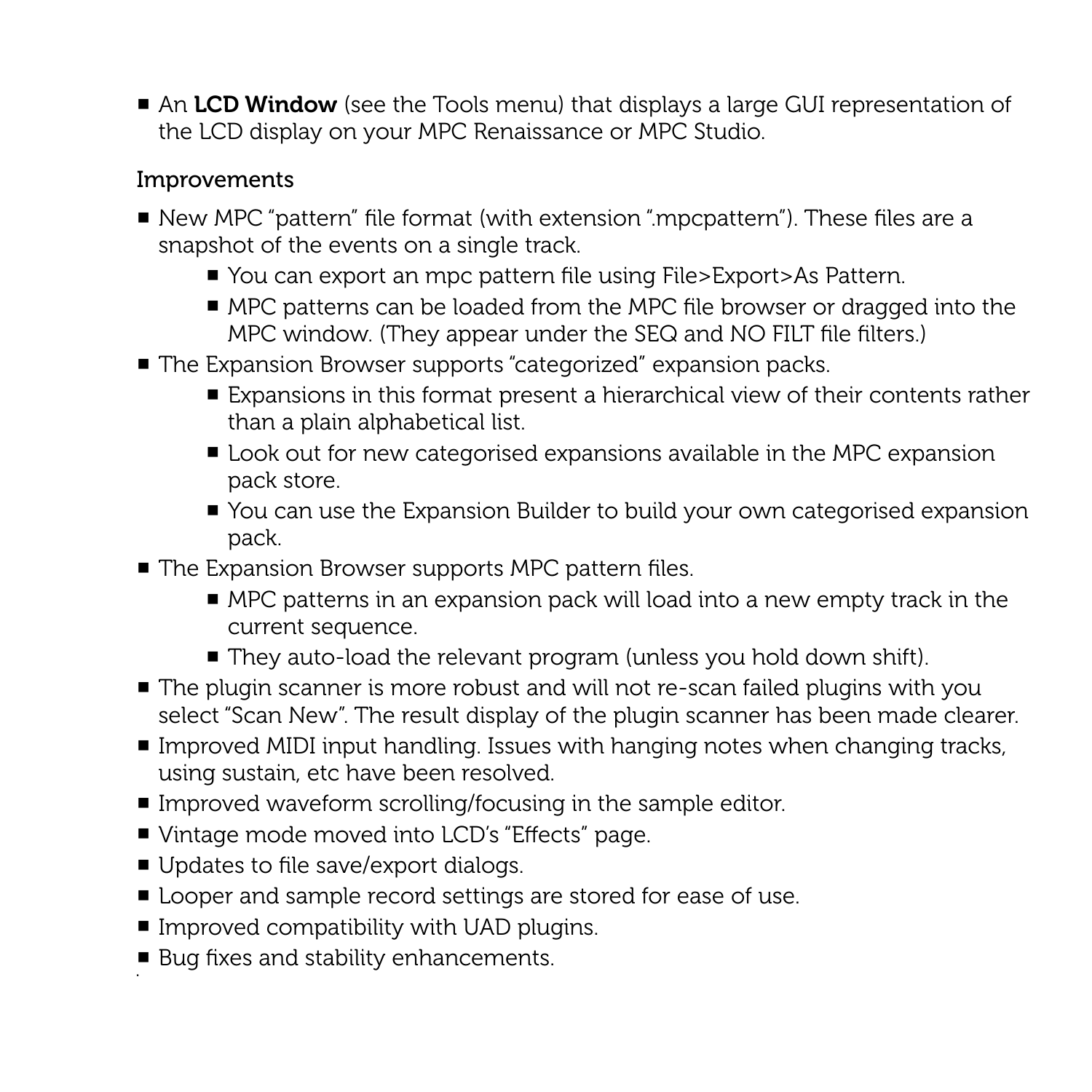■ An LCD Window (see the Tools menu) that displays a large GUI representation of the LCD display on your MPC Renaissance or MPC Studio.

- New MPC "pattern" file format (with extension ".mpcpattern"). These files are a snapshot of the events on a single track.
	- You can export an mpc pattern file using File>Export>As Pattern.
	- MPC patterns can be loaded from the MPC file browser or dragged into the MPC window. (They appear under the SEQ and NO FILT file filters.)
- The Expansion Browser supports "categorized" expansion packs.
	- Expansions in this format present a hierarchical view of their contents rather than a plain alphabetical list.
	- Look out for new categorised expansions available in the MPC expansion pack store.
	- You can use the Expansion Builder to build your own categorised expansion pack.
- The Expansion Browser supports MPC pattern files.
	- MPC patterns in an expansion pack will load into a new empty track in the current sequence.
	- They auto-load the relevant program (unless you hold down shift).
- The plugin scanner is more robust and will not re-scan failed plugins with you select "Scan New". The result display of the plugin scanner has been made clearer.
- Improved MIDI input handling. Issues with hanging notes when changing tracks, using sustain, etc have been resolved.
- Improved waveform scrolling/focusing in the sample editor.
- Vintage mode moved into LCD's "Effects" page.
- Updates to file save/export dialogs.
- Looper and sample record settings are stored for ease of use.
- $\blacksquare$  Improved compatibility with UAD plugins.
- Bug fixes and stability enhancements.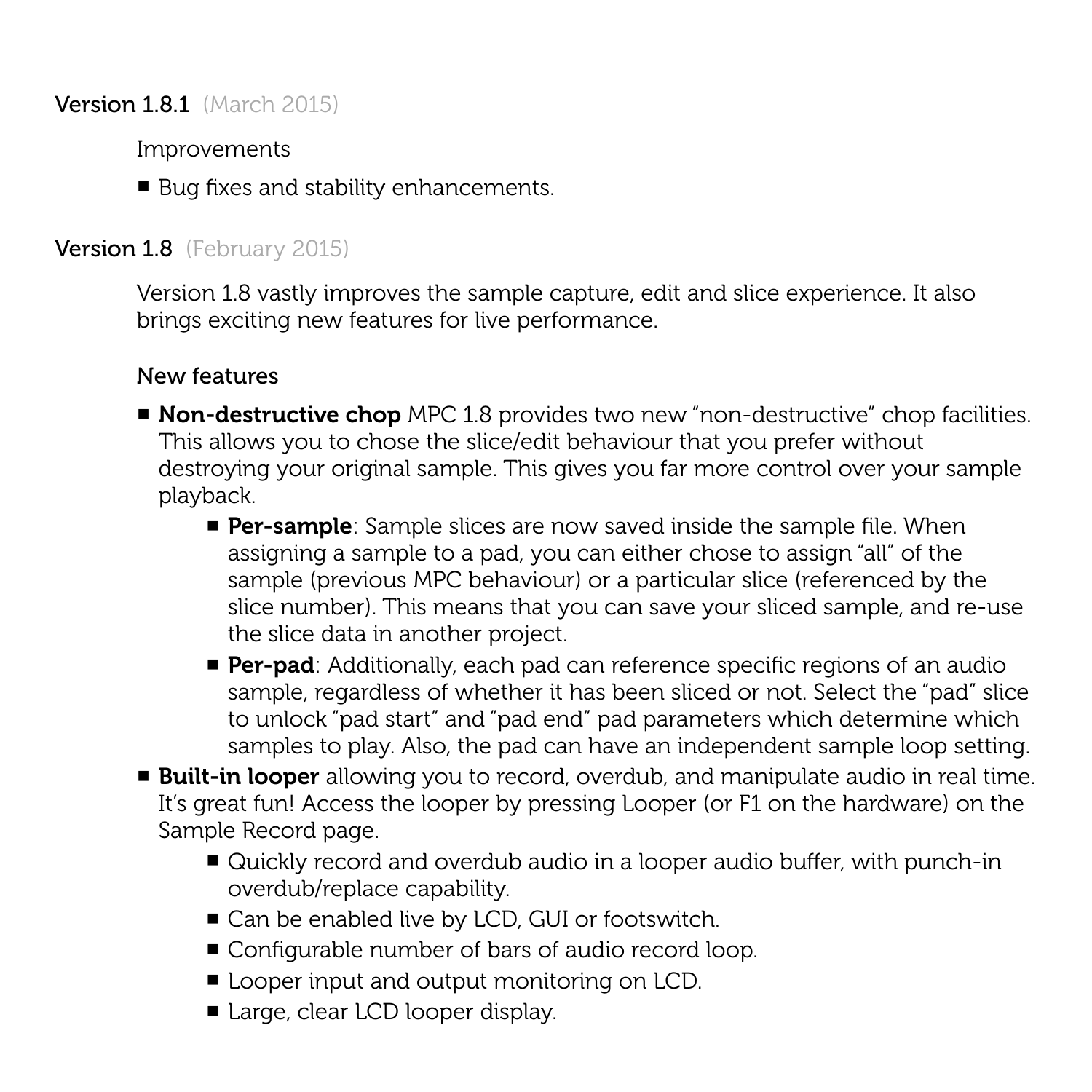**Version 1.8.1** (March 2015)

Improvements

■ Bug fixes and stability enhancements.

# Version 1.8 (February 2015)

Version 1.8 vastly improves the sample capture, edit and slice experience. It also brings exciting new features for live performance.

- Non-destructive chop MPC 1.8 provides two new "non-destructive" chop facilities. This allows you to chose the slice/edit behaviour that you prefer without destroying your original sample. This gives you far more control over your sample playback.
	- **Per-sample**: Sample slices are now saved inside the sample file. When assigning a sample to a pad, you can either chose to assign "all" of the sample (previous MPC behaviour) or a particular slice (referenced by the slice number). This means that you can save your sliced sample, and re-use the slice data in another project.
	- **Per-pad**: Additionally, each pad can reference specific regions of an audio sample, regardless of whether it has been sliced or not. Select the "pad" slice to unlock "pad start" and "pad end" pad parameters which determine which samples to play. Also, the pad can have an independent sample loop setting.
- Built-in looper allowing you to record, overdub, and manipulate audio in real time. It's great fun! Access the looper by pressing Looper (or F1 on the hardware) on the Sample Record page.
	- Quickly record and overdub audio in a looper audio buffer, with punch-in overdub/replace capability.
	- Can be enabled live by LCD, GUI or footswitch.
	- Configurable number of bars of audio record loop.
	- Looper input and output monitoring on LCD.
	- Large, clear LCD looper display.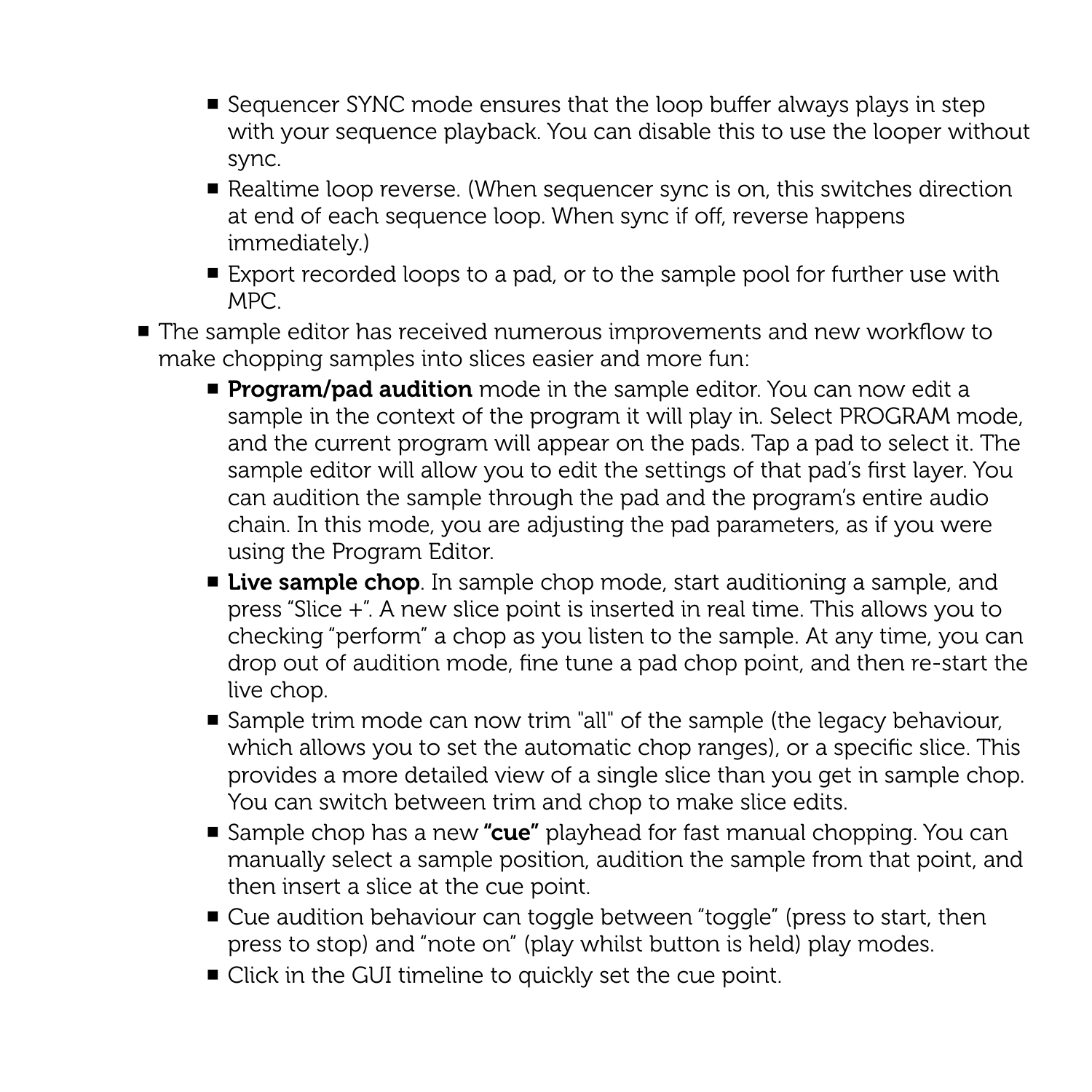- Sequencer SYNC mode ensures that the loop buffer always plays in step with your sequence playback. You can disable this to use the looper without sync.
- Realtime loop reverse. (When sequencer sync is on, this switches direction at end of each sequence loop. When sync if off, reverse happens immediately.)
- Export recorded loops to a pad, or to the sample pool for further use with MPC.
- The sample editor has received numerous improvements and new workflow to make chopping samples into slices easier and more fun:
	- **Program/pad audition** mode in the sample editor. You can now edit a sample in the context of the program it will play in. Select PROGRAM mode, and the current program will appear on the pads. Tap a pad to select it. The sample editor will allow you to edit the settings of that pad's first layer. You can audition the sample through the pad and the program's entire audio chain. In this mode, you are adjusting the pad parameters, as if you were using the Program Editor.
	- **Live sample chop**. In sample chop mode, start auditioning a sample, and press "Slice +". A new slice point is inserted in real time. This allows you to checking "perform" a chop as you listen to the sample. At any time, you can drop out of audition mode, fine tune a pad chop point, and then re-start the live chop.
	- Sample trim mode can now trim "all" of the sample (the legacy behaviour, which allows you to set the automatic chop ranges), or a specific slice. This provides a more detailed view of a single slice than you get in sample chop. You can switch between trim and chop to make slice edits.
	- Sample chop has a new "cue" playhead for fast manual chopping. You can manually select a sample position, audition the sample from that point, and then insert a slice at the cue point.
	- Cue audition behaviour can toggle between "toggle" (press to start, then press to stop) and "note on" (play whilst button is held) play modes.
	- Click in the GUI timeline to quickly set the cue point.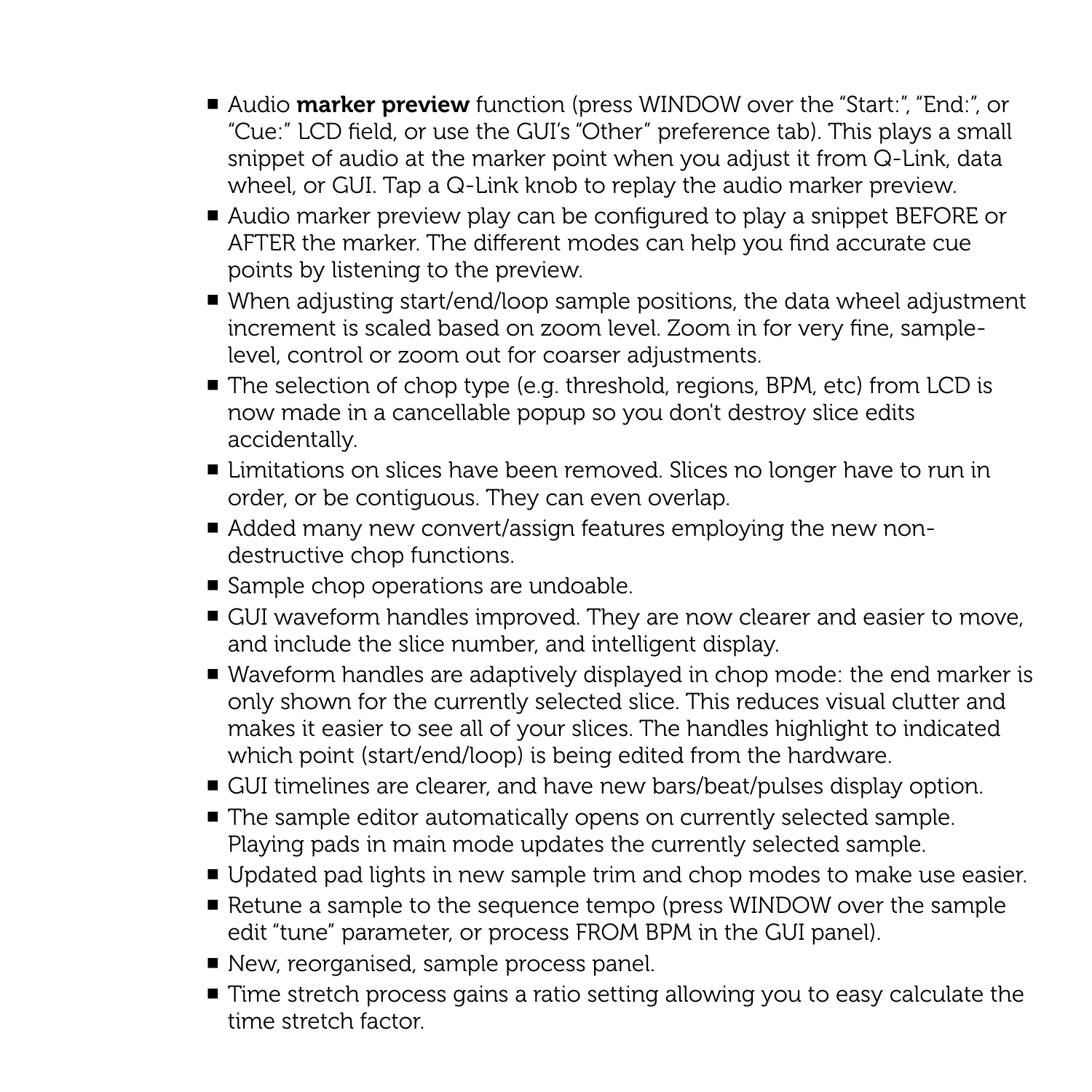- Audio **marker preview** function (press WINDOW over the "Start:", "End:", or "Cue:" LCD field, or use the GUI's "Other" preference tab). This plays a small snippet of audio at the marker point when you adjust it from Q-Link, data wheel, or GUI. Tap a Q-Link knob to replay the audio marker preview.
- Audio marker preview play can be configured to play a snippet BEFORE or AFTER the marker. The different modes can help you find accurate cue points by listening to the preview.
- When adjusting start/end/loop sample positions, the data wheel adjustment increment is scaled based on zoom level. Zoom in for very fine, samplelevel, control or zoom out for coarser adjustments.
- The selection of chop type (e.g. threshold, regions, BPM, etc) from LCD is now made in a cancellable popup so you don't destroy slice edits accidentally.
- Limitations on slices have been removed. Slices no longer have to run in order, or be contiguous. They can even overlap.
- Added many new convert/assign features employing the new nondestructive chop functions.
- Sample chop operations are undoable.
- GUI waveform handles improved. They are now clearer and easier to move, and include the slice number, and intelligent display.
- Waveform handles are adaptively displayed in chop mode: the end marker is only shown for the currently selected slice. This reduces visual clutter and makes it easier to see all of your slices. The handles highlight to indicated which point (start/end/loop) is being edited from the hardware.
- GUI timelines are clearer, and have new bars/beat/pulses display option.
- The sample editor automatically opens on currently selected sample. Playing pads in main mode updates the currently selected sample.
- Updated pad lights in new sample trim and chop modes to make use easier.
- Retune a sample to the sequence tempo (press WINDOW over the sample edit "tune" parameter, or process FROM BPM in the GUI panel).
- New, reorganised, sample process panel.
- Time stretch process gains a ratio setting allowing you to easy calculate the time stretch factor.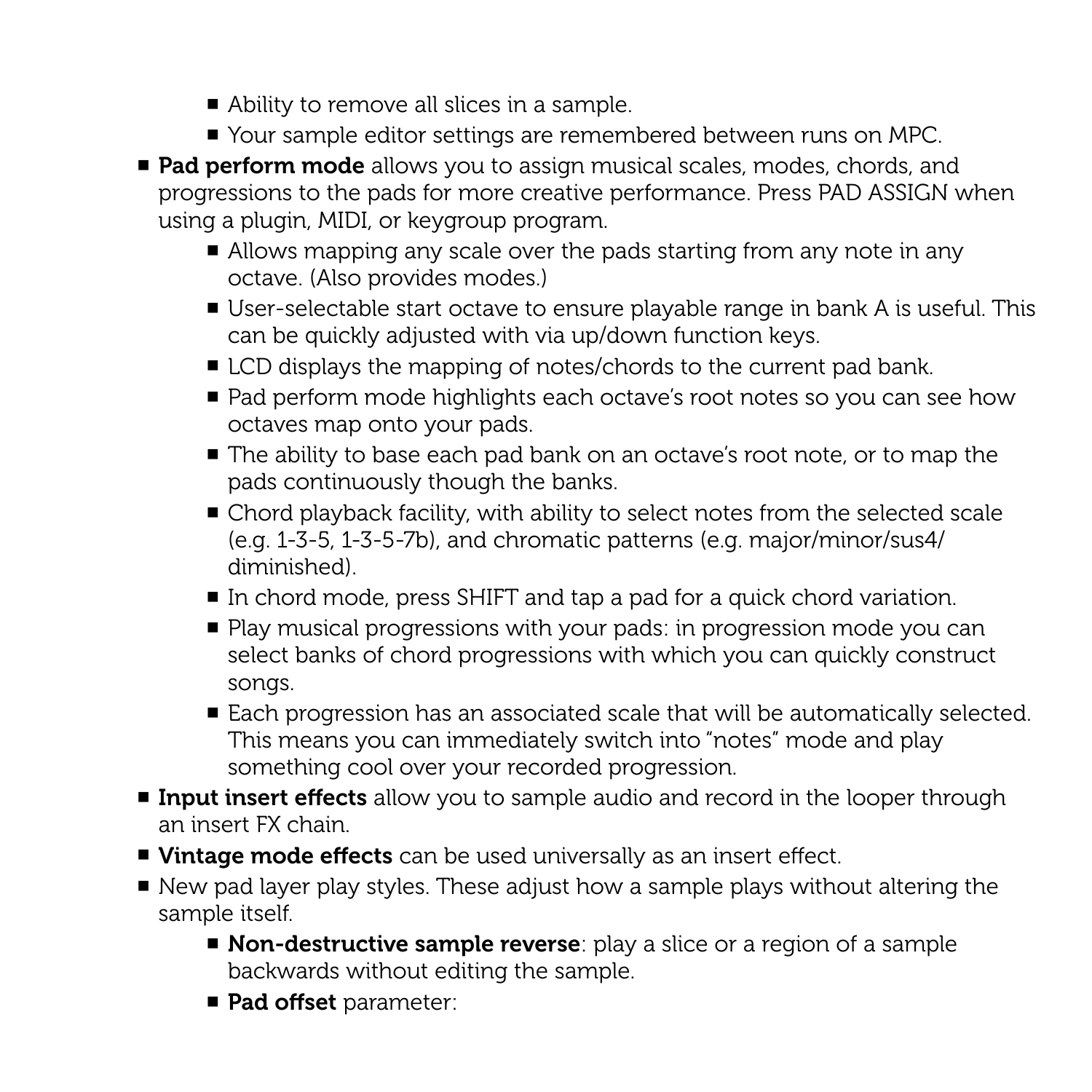- Ability to remove all slices in a sample.
- Your sample editor settings are remembered between runs on MPC.
- Pad perform mode allows you to assign musical scales, modes, chords, and progressions to the pads for more creative performance. Press PAD ASSIGN when using a plugin, MIDI, or keygroup program.
	- Allows mapping any scale over the pads starting from any note in any octave. (Also provides modes.)
	- User-selectable start octave to ensure playable range in bank A is useful. This can be quickly adjusted with via up/down function keys.
	- LCD displays the mapping of notes/chords to the current pad bank.
	- Pad perform mode highlights each octave's root notes so you can see how octaves map onto your pads.
	- The ability to base each pad bank on an octave's root note, or to map the pads continuously though the banks.
	- Chord playback facility, with ability to select notes from the selected scale (e.g. 1-3-5, 1-3-5-7b), and chromatic patterns (e.g. major/minor/sus4/ diminished).
	- In chord mode, press SHIFT and tap a pad for a quick chord variation.
	- Play musical progressions with your pads: in progression mode you can select banks of chord progressions with which you can quickly construct songs.
	- Each progression has an associated scale that will be automatically selected. This means you can immediately switch into "notes" mode and play something cool over your recorded progression.
- **Input insert effects** allow you to sample audio and record in the looper through an insert FX chain.
- Vintage mode effects can be used universally as an insert effect.
- New pad layer play styles. These adjust how a sample plays without altering the sample itself.
	- **Non-destructive sample reverse**: play a slice or a region of a sample backwards without editing the sample.
	- Pad offset parameter: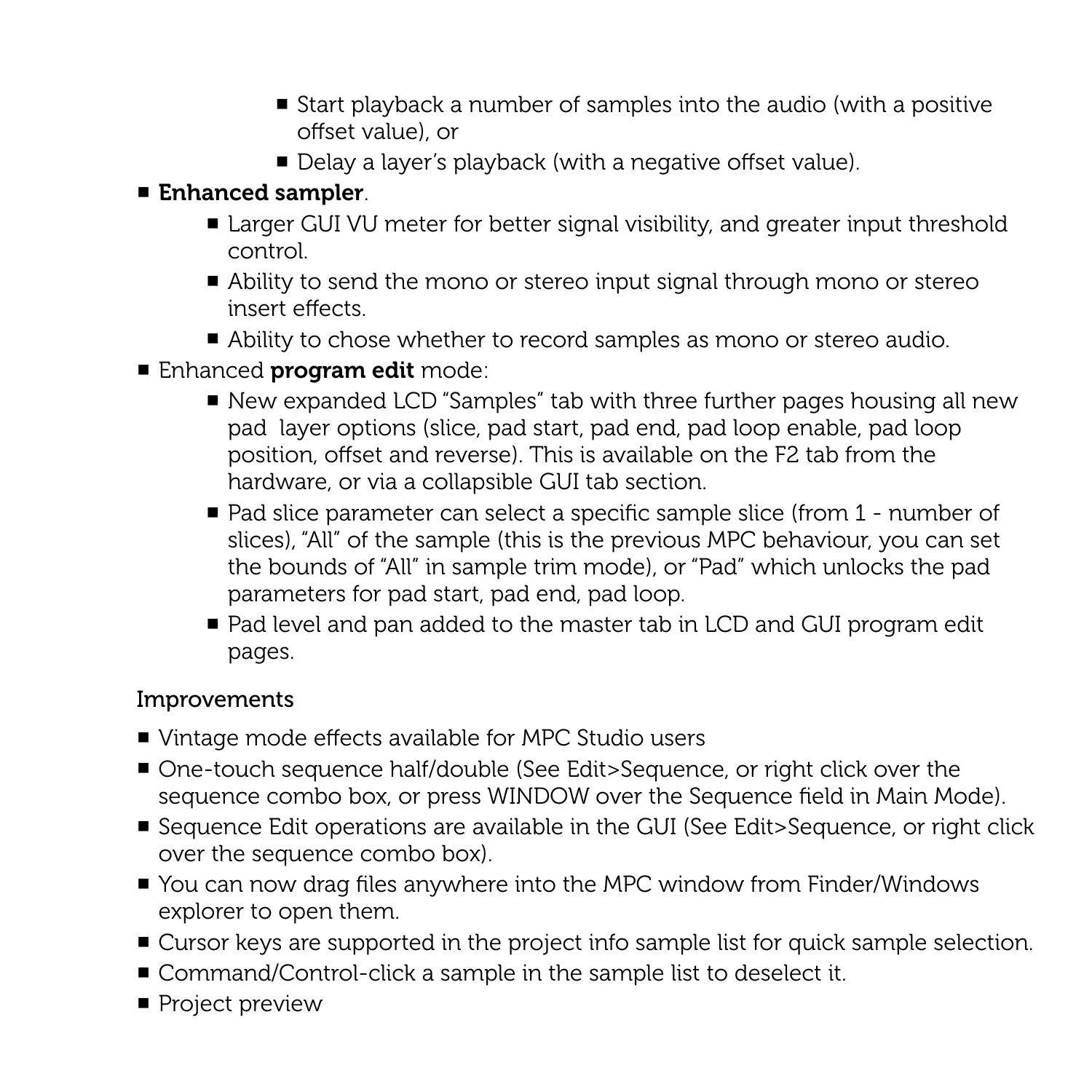- Start playback a number of samples into the audio (with a positive offset value), or
- Delay a layer's playback (with a negative offset value).

# ■ Enhanced sampler.

- Larger GUI VU meter for better signal visibility, and greater input threshold control.
- Ability to send the mono or stereo input signal through mono or stereo insert effects.
- Ability to chose whether to record samples as mono or stereo audio.
- Enhanced program edit mode:
	- New expanded LCD "Samples" tab with three further pages housing all new pad layer options (slice, pad start, pad end, pad loop enable, pad loop position, offset and reverse). This is available on the F2 tab from the hardware, or via a collapsible GUI tab section.
	- Pad slice parameter can select a specific sample slice (from 1 number of slices), "All" of the sample (this is the previous MPC behaviour, you can set the bounds of "All" in sample trim mode), or "Pad" which unlocks the pad parameters for pad start, pad end, pad loop.
	- Pad level and pan added to the master tab in LCD and GUI program edit pages.

- Vintage mode effects available for MPC Studio users
- One-touch sequence half/double (See Edit>Sequence, or right click over the sequence combo box, or press WINDOW over the Sequence field in Main Mode).
- Sequence Edit operations are available in the GUI (See Edit>Sequence, or right click over the sequence combo box).
- You can now drag files anywhere into the MPC window from Finder/Windows explorer to open them.
- Cursor keys are supported in the project info sample list for quick sample selection.
- Command/Control-click a sample in the sample list to deselect it.
- Project preview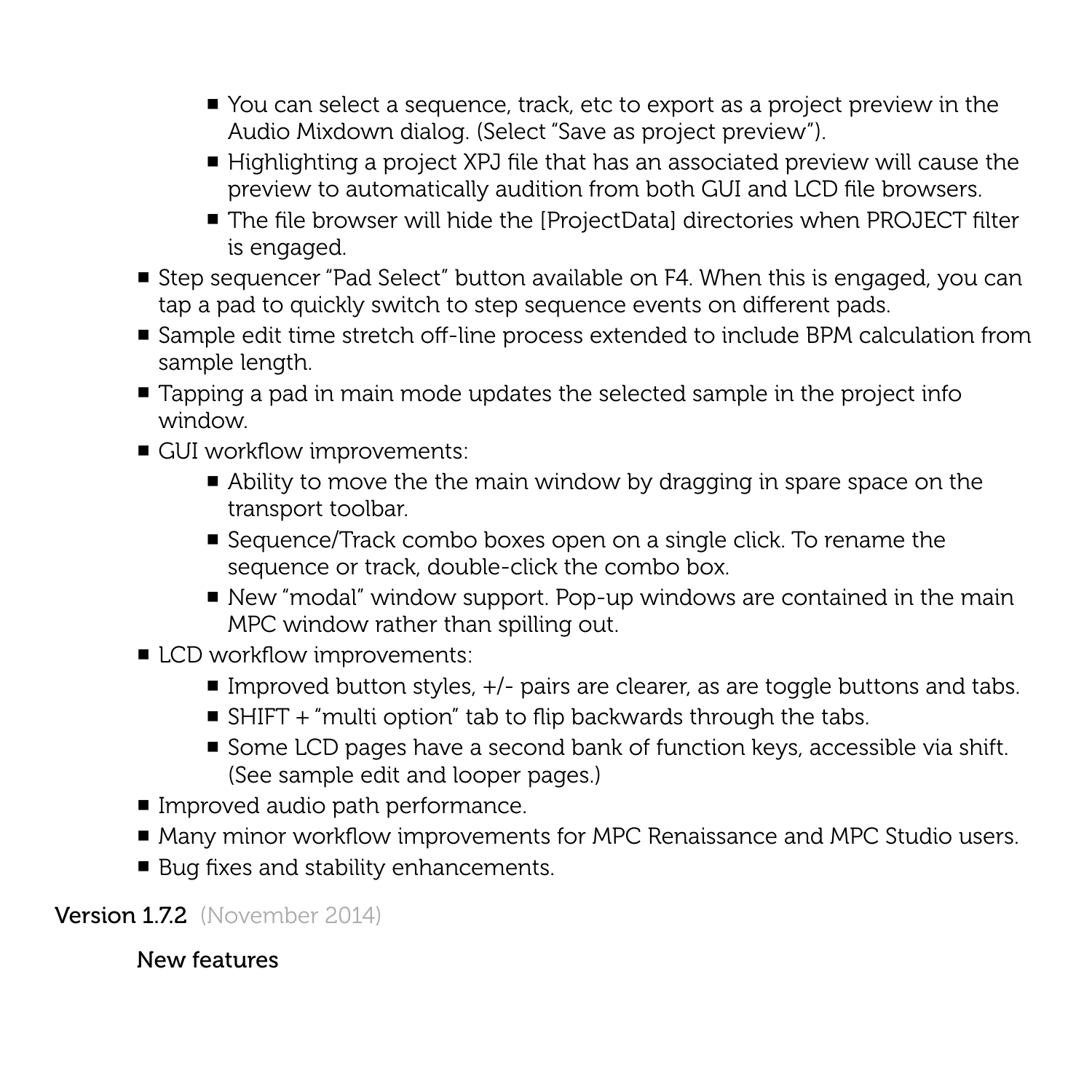- You can select a sequence, track, etc to export as a project preview in the Audio Mixdown dialog. (Select "Save as project preview").
- Highlighting a project XPJ file that has an associated preview will cause the preview to automatically audition from both GUI and LCD file browsers.
- The file browser will hide the [ProjectData] directories when PROJECT filter is engaged.
- Step sequencer "Pad Select" button available on F4. When this is engaged, you can tap a pad to quickly switch to step sequence events on different pads.
- Sample edit time stretch off-line process extended to include BPM calculation from sample length.
- Tapping a pad in main mode updates the selected sample in the project info window.
- GUI workflow improvements:
	- Ability to move the the main window by dragging in spare space on the transport toolbar.
	- Sequence/Track combo boxes open on a single click. To rename the sequence or track, double-click the combo box.
	- New "modal" window support. Pop-up windows are contained in the main MPC window rather than spilling out.
- LCD workflow improvements:
	- $\blacksquare$  Improved button styles,  $\pm/-$  pairs are clearer, as are toggle buttons and tabs.
	- SHIFT + "multi option" tab to flip backwards through the tabs.
	- Some LCD pages have a second bank of function keys, accessible via shift. (See sample edit and looper pages.)
- Improved audio path performance.
- Many minor workflow improvements for MPC Renaissance and MPC Studio users.
- Bug fixes and stability enhancements.

Version 1.7.2 (November 2014)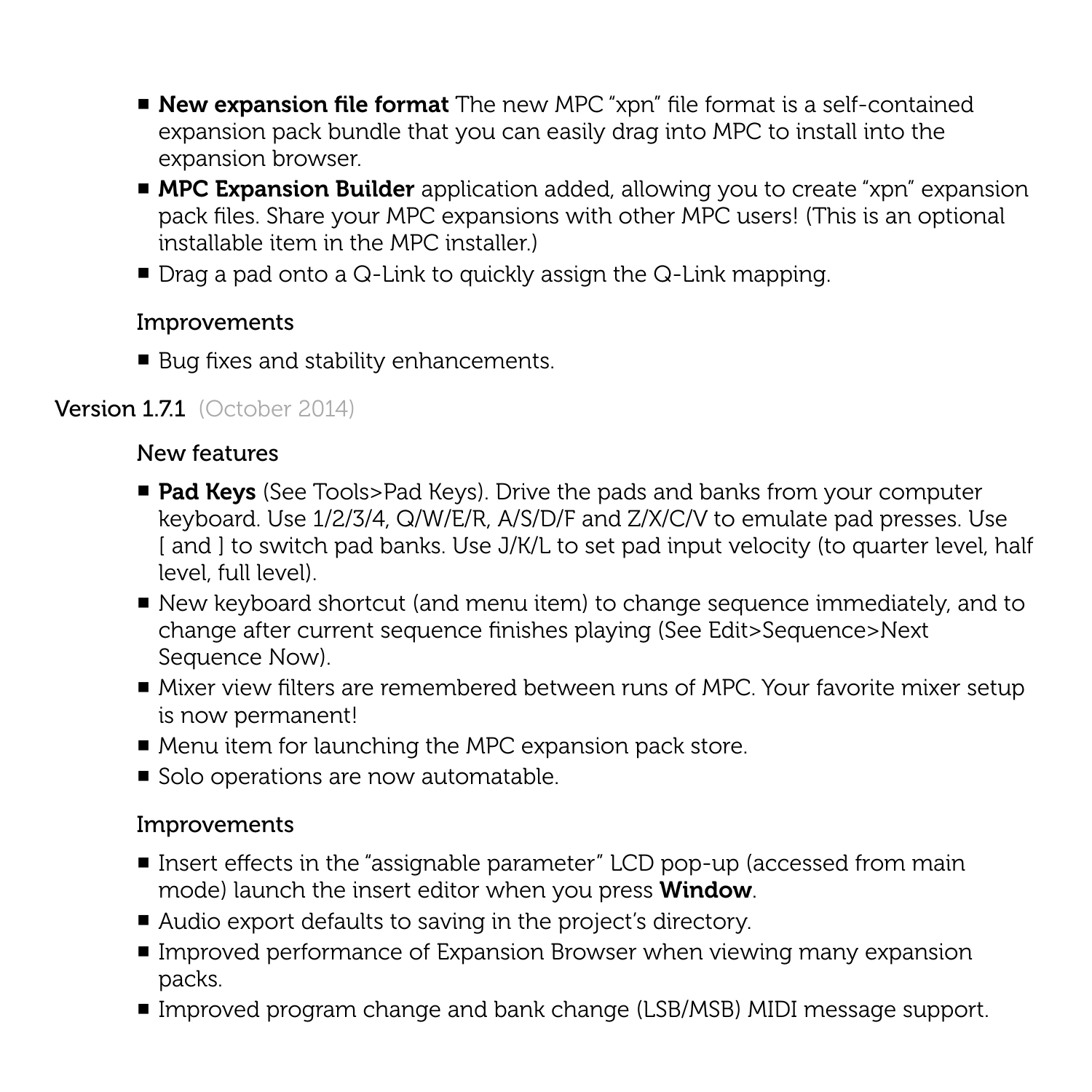- New expansion file format The new MPC "xpn" file format is a self-contained expansion pack bundle that you can easily drag into MPC to install into the expansion browser.
- MPC Expansion Builder application added, allowing you to create "xpn" expansion pack files. Share your MPC expansions with other MPC users! (This is an optional installable item in the MPC installer.)
- $\blacksquare$  Drag a pad onto a Q-Link to quickly assign the Q-Link mapping.

■ Bug fixes and stability enhancements.

# Version 1.7.1 (October 2014)

## New features

- Pad Keys (See Tools>Pad Keys). Drive the pads and banks from your computer keyboard. Use 1/2/3/4, Q/W/E/R, A/S/D/F and Z/X/C/V to emulate pad presses. Use [ and ] to switch pad banks. Use J/K/L to set pad input velocity (to quarter level, half level, full level).
- New keyboard shortcut (and menu item) to change sequence immediately, and to change after current sequence finishes playing (See Edit>Sequence>Next Sequence Now).
- Mixer view filters are remembered between runs of MPC. Your favorite mixer setup is now permanent!
- Menu item for launching the MPC expansion pack store.
- Solo operations are now automatable.

- Insert effects in the "assignable parameter" LCD pop-up (accessed from main mode) launch the insert editor when you press Window.
- Audio export defaults to saving in the project's directory.
- Improved performance of Expansion Browser when viewing many expansion packs.
- Improved program change and bank change (LSB/MSB) MIDI message support.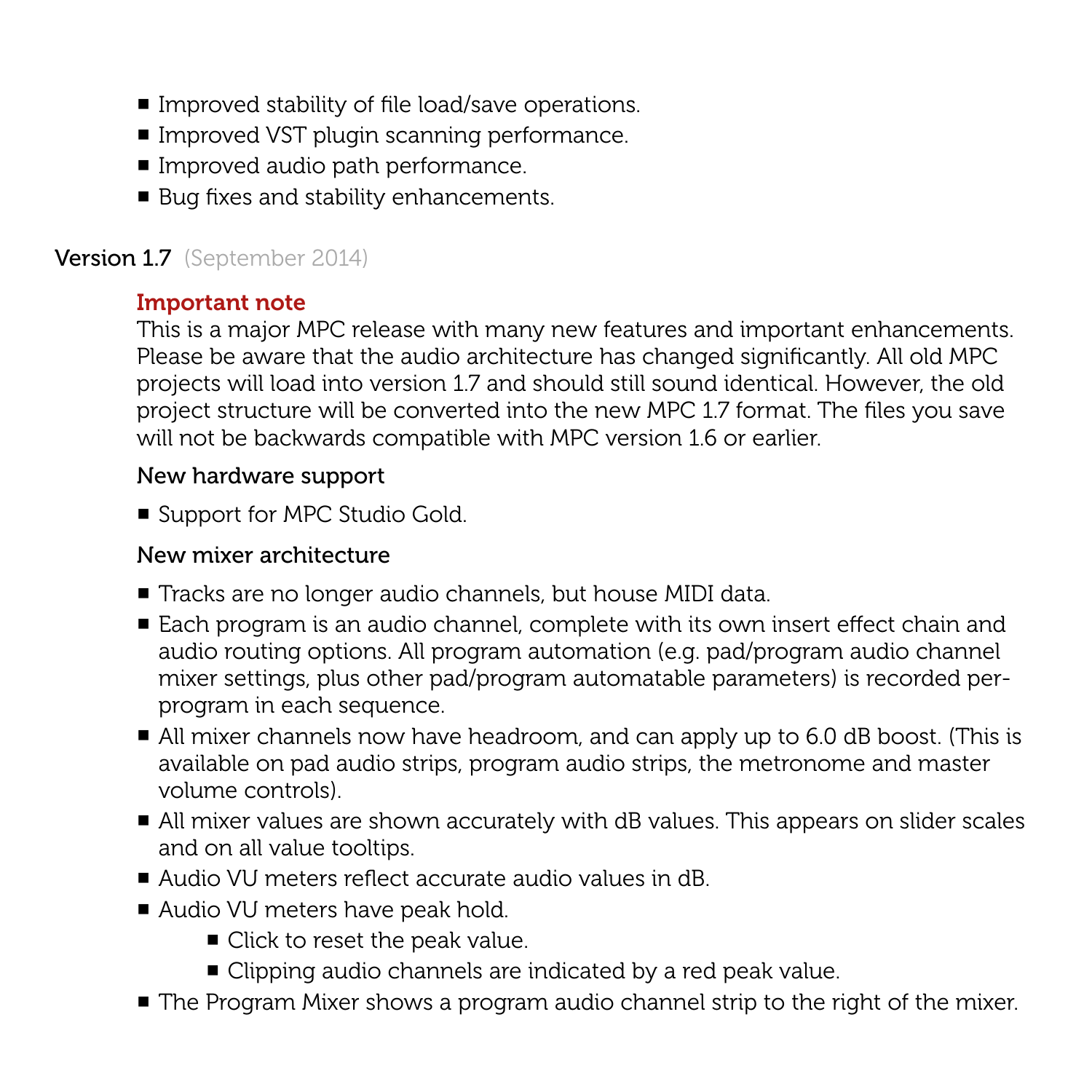- Improved stability of file load/save operations.
- Improved VST plugin scanning performance.
- Improved audio path performance.
- Bug fixes and stability enhancements.

## Version 1.7 (September 2014)

## Important note

This is a major MPC release with many new features and important enhancements. Please be aware that the audio architecture has changed significantly. All old MPC projects will load into version 1.7 and should still sound identical. However, the old project structure will be converted into the new MPC 1.7 format. The files you save will not be backwards compatible with MPC version 1.6 or earlier.

#### New hardware support

■ Support for MPC Studio Gold.

#### New mixer architecture

- Tracks are no longer audio channels, but house MIDI data.
- Each program is an audio channel, complete with its own insert effect chain and audio routing options. All program automation (e.g. pad/program audio channel mixer settings, plus other pad/program automatable parameters) is recorded perprogram in each sequence.
- All mixer channels now have headroom, and can apply up to 6.0 dB boost. (This is available on pad audio strips, program audio strips, the metronome and master volume controls).
- All mixer values are shown accurately with dB values. This appears on slider scales and on all value tooltips.
- Audio VU meters reflect accurate audio values in dB.
- Audio VU meters have peak hold.
	- Click to reset the peak value.
	- Clipping audio channels are indicated by a red peak value.
- The Program Mixer shows a program audio channel strip to the right of the mixer.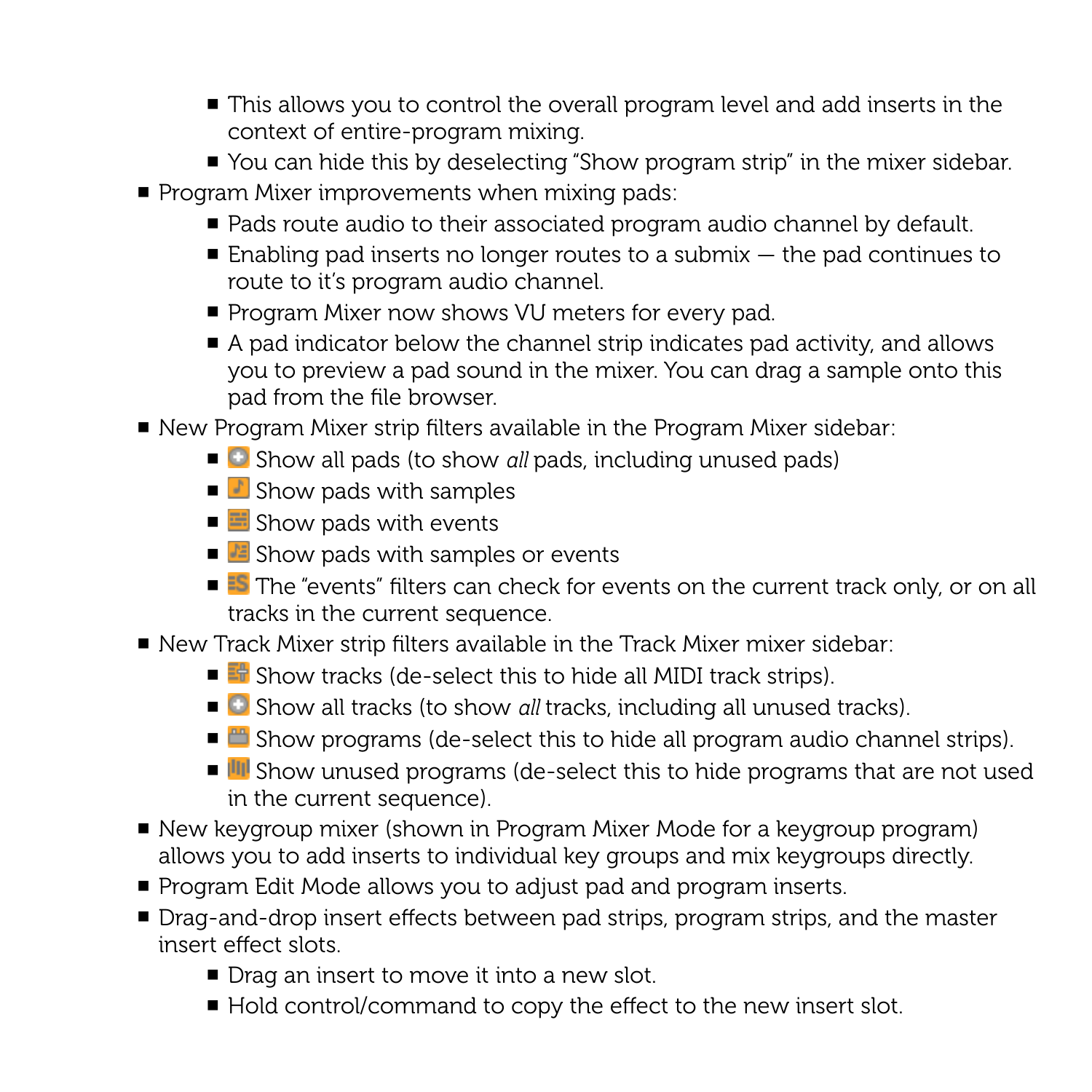- This allows you to control the overall program level and add inserts in the context of entire-program mixing.
- You can hide this by deselecting "Show program strip" in the mixer sidebar.
- Program Mixer improvements when mixing pads:
	- Pads route audio to their associated program audio channel by default.
	- $\blacksquare$  Enabling pad inserts no longer routes to a submix  $-$  the pad continues to route to it's program audio channel.
	- Program Mixer now shows VU meters for every pad.
	- $\blacksquare$  A pad indicator below the channel strip indicates pad activity, and allows you to preview a pad sound in the mixer. You can drag a sample onto this pad from the file browser.
- New Program Mixer strip filters available in the Program Mixer sidebar:
	- Show all pads (to show *all* pads, including unused pads)
	- $\blacksquare$  Show pads with samples
	- $\blacksquare$  Show pads with events
	- $\blacksquare$  Show pads with samples or events
	- <sup>25</sup> The "events" filters can check for events on the current track only, or on all tracks in the current sequence.
- New Track Mixer strip filters available in the Track Mixer mixer sidebar:
	- $\blacksquare$  Show tracks (de-select this to hide all MIDI track strips).
	- Show all tracks (to show *all* tracks, including all unused tracks).
	- $\Box$  Show programs (de-select this to hide all program audio channel strips).
	- III Show unused programs (de-select this to hide programs that are not used in the current sequence).
- New keygroup mixer (shown in Program Mixer Mode for a keygroup program) allows you to add inserts to individual key groups and mix keygroups directly.
- Program Edit Mode allows you to adjust pad and program inserts.
- Drag-and-drop insert effects between pad strips, program strips, and the master insert effect slots.
	- Drag an insert to move it into a new slot.
	- Hold control/command to copy the effect to the new insert slot.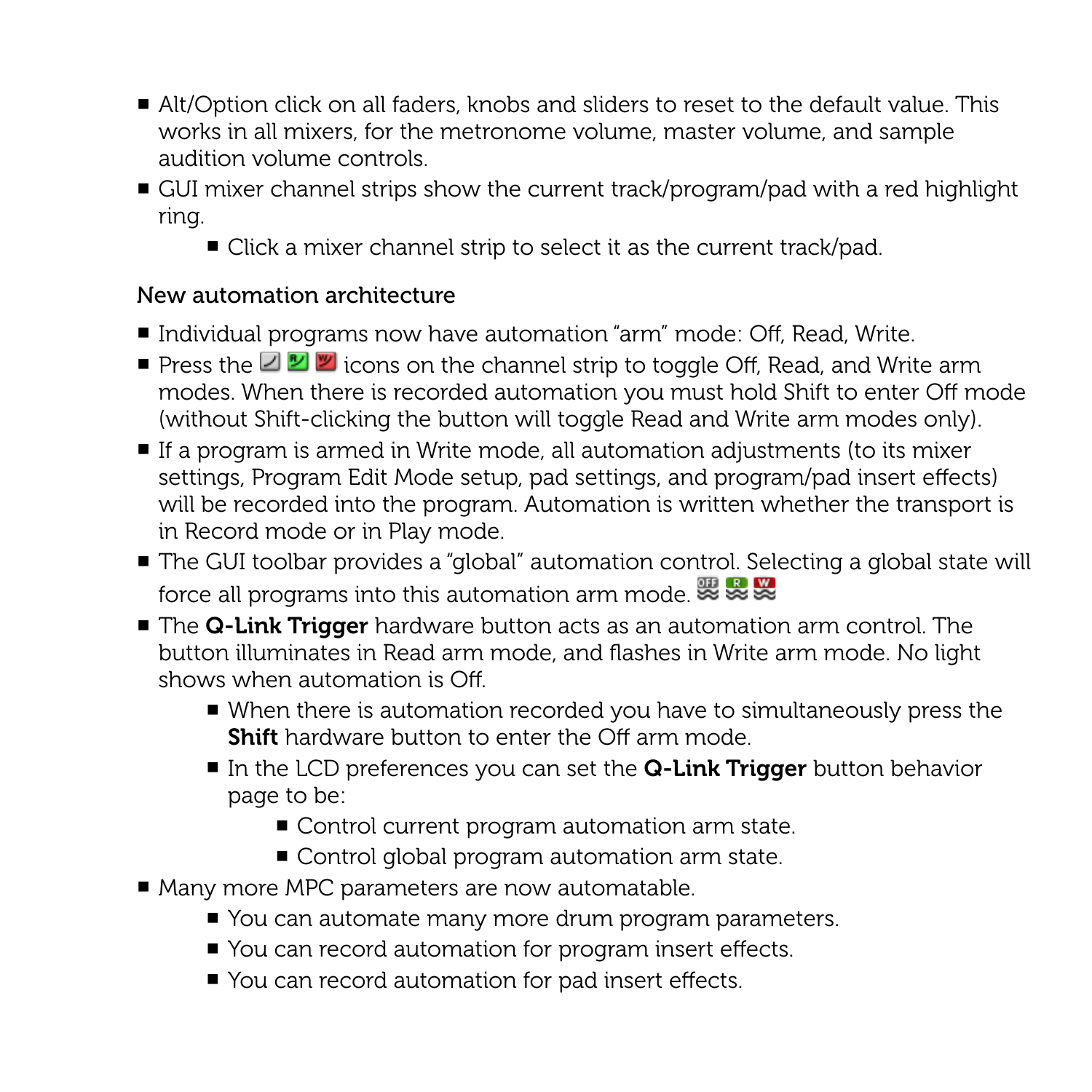- Alt/Option click on all faders, knobs and sliders to reset to the default value. This works in all mixers, for the metronome volume, master volume, and sample audition volume controls.
- GUI mixer channel strips show the current track/program/pad with a red highlight ring.
	- Click a mixer channel strip to select it as the current track/pad.

## New automation architecture

- Individual programs now have automation "arm" mode: Off, Read, Write.
- $\blacksquare$  **Press the**  $\blacksquare$  $\blacksquare$  icons on the channel strip to toggle Off, Read, and Write arm modes. When there is recorded automation you must hold Shift to enter Off mode (without Shift-clicking the button will toggle Read and Write arm modes only).
- If a program is armed in Write mode, all automation adjustments (to its mixer settings, Program Edit Mode setup, pad settings, and program/pad insert effects) will be recorded into the program. Automation is written whether the transport is in Record mode or in Play mode.
- The GUI toolbar provides a "global" automation control. Selecting a global state will force all programs into this automation arm mode.
- The Q-Link Trigger hardware button acts as an automation arm control. The button illuminates in Read arm mode, and flashes in Write arm mode. No light shows when automation is Off.
	- When there is automation recorded you have to simultaneously press the **Shift** hardware button to enter the Off arm mode.
	- $\blacksquare$  In the LCD preferences you can set the  $\Omega$ -Link Trigger button behavior page to be:
		- Control current program automation arm state.
		- Control global program automation arm state.
- Many more MPC parameters are now automatable.
	- You can automate many more drum program parameters.
	- You can record automation for program insert effects.
	- You can record automation for pad insert effects.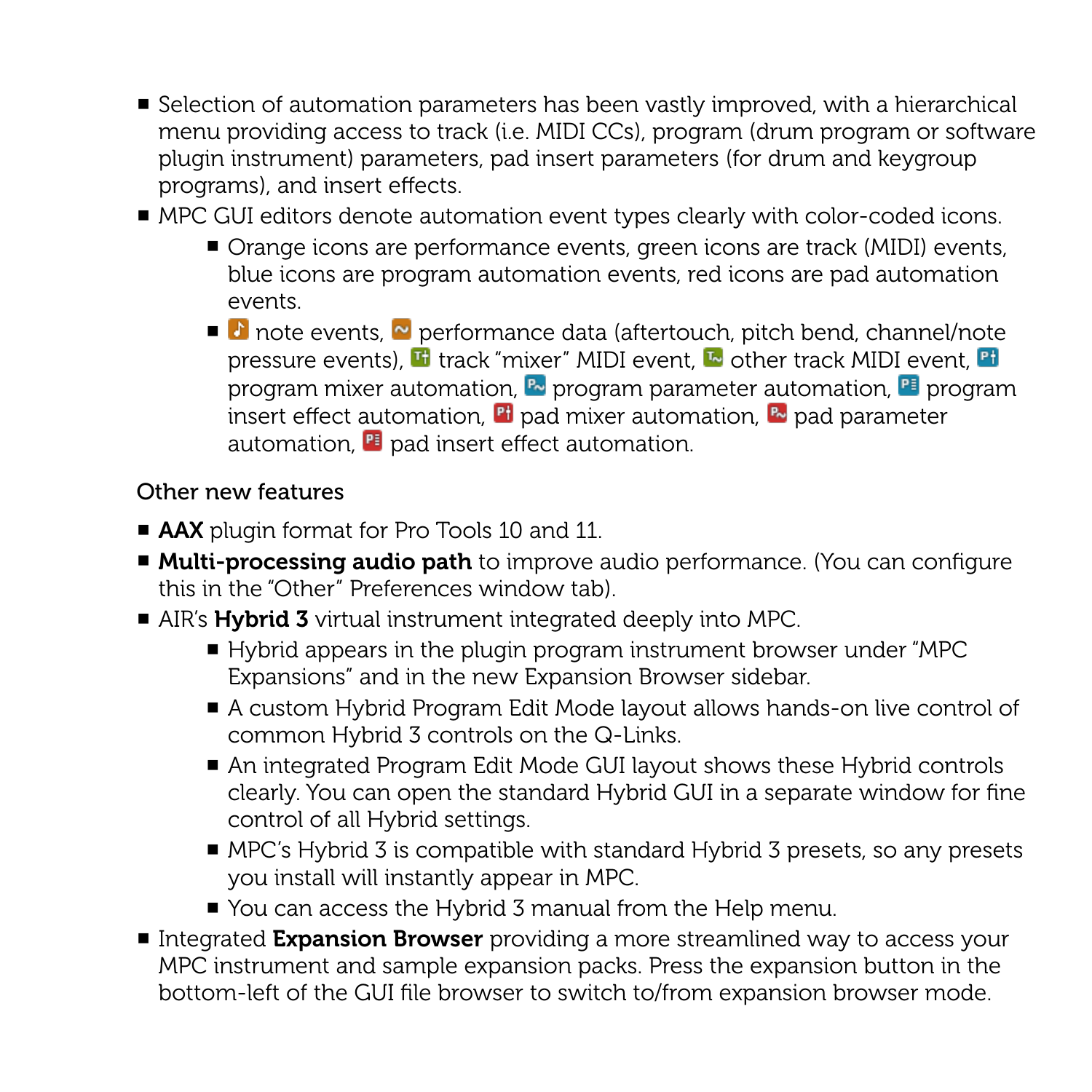- Selection of automation parameters has been vastly improved, with a hierarchical menu providing access to track (i.e. MIDI CCs), program (drum program or software plugin instrument) parameters, pad insert parameters (for drum and keygroup programs), and insert effects.
- MPC GUI editors denote automation event types clearly with color-coded icons.
	- Orange icons are performance events, green icons are track (MIDI) events, blue icons are program automation events, red icons are pad automation events.
	- **D** note events, **N** performance data (aftertouch, pitch bend, channel/note pressure events),  $\mathbf{F}$  track "mixer" MIDI event,  $\mathbf{F}$  other track MIDI event,  $\mathbf{F}$ program mixer automation,  $\mathbb{R}$  program parameter automation,  $\mathbb{R}$  program insert effect automation,  $\mathbb{F}$  pad mixer automation,  $\mathbb{F}$  pad parameter automation,  $\mathbb{F}$  pad insert effect automation.

#### Other new features

- AAX plugin format for Pro Tools 10 and 11.
- Multi-processing audio path to improve audio performance. (You can configure this in the "Other" Preferences window tab).
- AIR's **Hybrid 3** virtual instrument integrated deeply into MPC.
	- Hybrid appears in the plugin program instrument browser under "MPC Expansions" and in the new Expansion Browser sidebar.
	- A custom Hybrid Program Edit Mode layout allows hands-on live control of common Hybrid 3 controls on the Q-Links.
	- An integrated Program Edit Mode GUI layout shows these Hybrid controls clearly. You can open the standard Hybrid GUI in a separate window for fine control of all Hybrid settings.
	- $\blacksquare$  MPC's Hybrid 3 is compatible with standard Hybrid 3 presets, so any presets you install will instantly appear in MPC.
	- You can access the Hybrid 3 manual from the Help menu.
- Integrated Expansion Browser providing a more streamlined way to access your MPC instrument and sample expansion packs. Press the expansion button in the bottom-left of the GUI file browser to switch to/from expansion browser mode.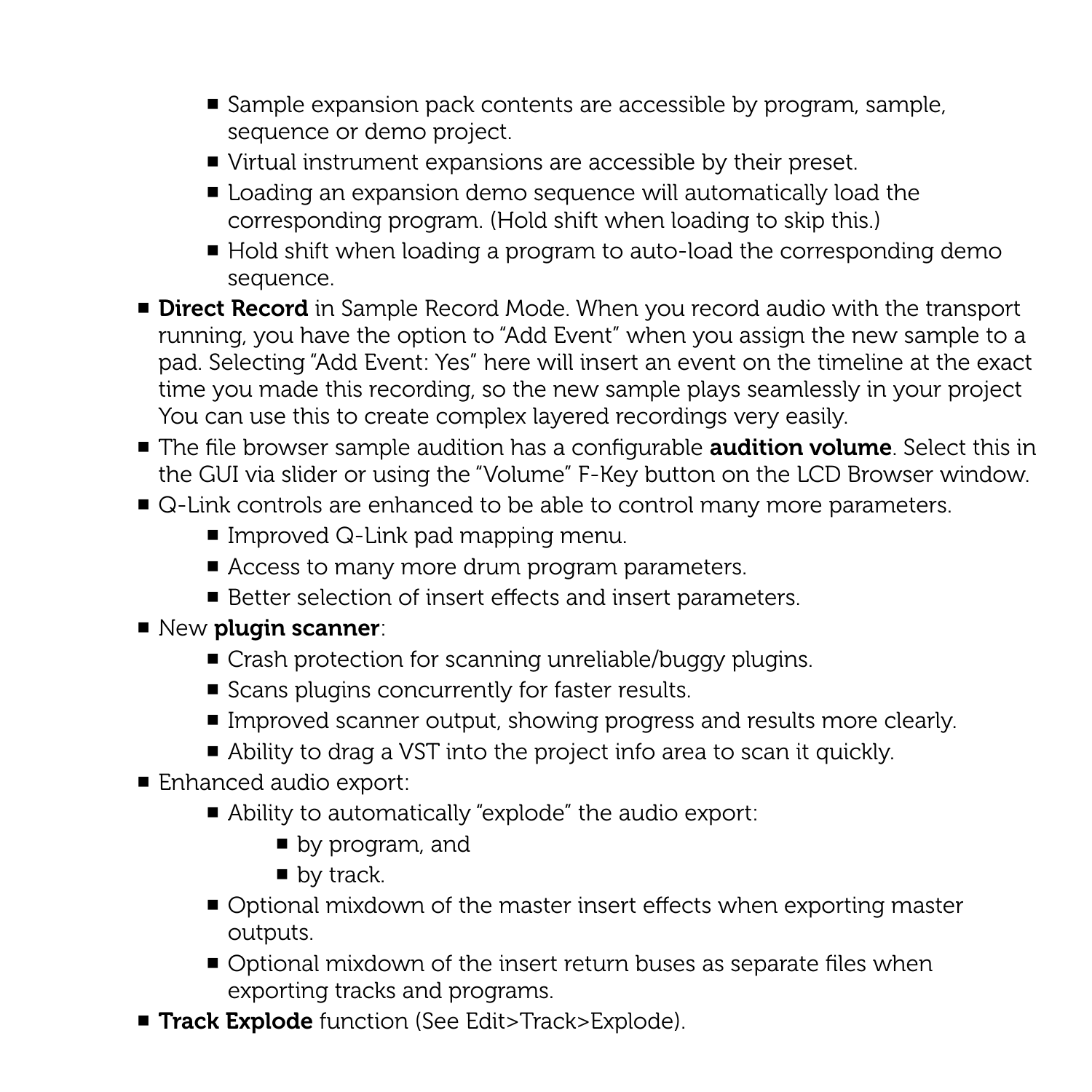- Sample expansion pack contents are accessible by program, sample, sequence or demo project.
- Virtual instrument expansions are accessible by their preset.
- Loading an expansion demo sequence will automatically load the corresponding program. (Hold shift when loading to skip this.)
- Hold shift when loading a program to auto-load the corresponding demo sequence.
- Direct Record in Sample Record Mode. When you record audio with the transport running, you have the option to "Add Event" when you assign the new sample to a pad. Selecting "Add Event: Yes" here will insert an event on the timeline at the exact time you made this recording, so the new sample plays seamlessly in your project You can use this to create complex layered recordings very easily.
- The file browser sample audition has a configurable **audition volume**. Select this in the GUI via slider or using the "Volume" F-Key button on the LCD Browser window.
- Q-Link controls are enhanced to be able to control many more parameters.
	- $\blacksquare$  Improved Q-Link pad mapping menu.
	- Access to many more drum program parameters.
	- Better selection of insert effects and insert parameters.
- New plugin scanner:
	- Crash protection for scanning unreliable/buggy plugins.
	- Scans plugins concurrently for faster results.
	- Improved scanner output, showing progress and results more clearly.
	- Ability to drag a VST into the project info area to scan it quickly.
- Enhanced audio export:
	- Ability to automatically "explode" the audio export:
		- $\blacksquare$  by program, and
		- $\blacksquare$  by track.
	- Optional mixdown of the master insert effects when exporting master outputs.
	- Optional mixdown of the insert return buses as separate files when exporting tracks and programs.
- Track Explode function (See Edit>Track>Explode).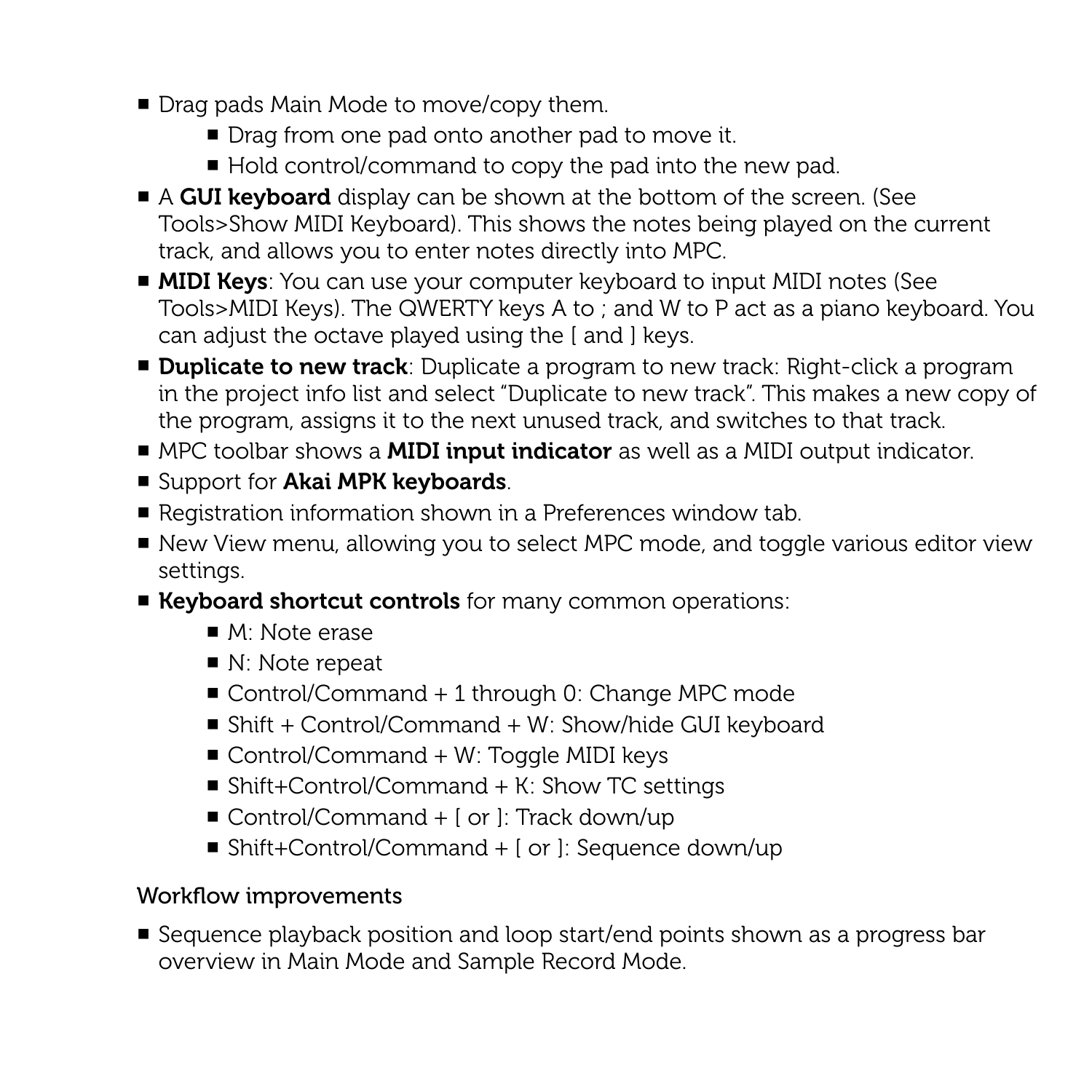- Drag pads Main Mode to move/copy them.
	- Drag from one pad onto another pad to move it.
	- Hold control/command to copy the pad into the new pad.
- A GUI keyboard display can be shown at the bottom of the screen. (See Tools>Show MIDI Keyboard). This shows the notes being played on the current track, and allows you to enter notes directly into MPC.
- MIDI Keys: You can use your computer keyboard to input MIDI notes (See Tools>MIDI Keys). The QWERTY keys A to ; and W to P act as a piano keyboard. You can adjust the octave played using the [ and ] keys.
- Duplicate to new track: Duplicate a program to new track: Right-click a program in the project info list and select "Duplicate to new track". This makes a new copy of the program, assigns it to the next unused track, and switches to that track.
- MPC toolbar shows a **MIDI input indicator** as well as a MIDI output indicator.
- Support for Akai MPK keyboards.
- Registration information shown in a Preferences window tab.
- New View menu, allowing you to select MPC mode, and toggle various editor view settings.
- Keyboard shortcut controls for many common operations:
	- $\blacksquare$  M: Note erase
	- $\blacksquare$  N: Note repeat
	- Control/Command + 1 through 0: Change MPC mode
	- Shift + Control/Command + W: Show/hide GUI keyboard
	- $\blacksquare$  Control/Command + W: Toggle MIDI keys
	- Shift+Control/Command + K: Show TC settings
	- Control/Command  $+$  [ or ]: Track down/up
	- Shift+Control/Command  $+$  [ or ]: Sequence down/up

## Workflow improvements

■ Sequence playback position and loop start/end points shown as a progress bar overview in Main Mode and Sample Record Mode.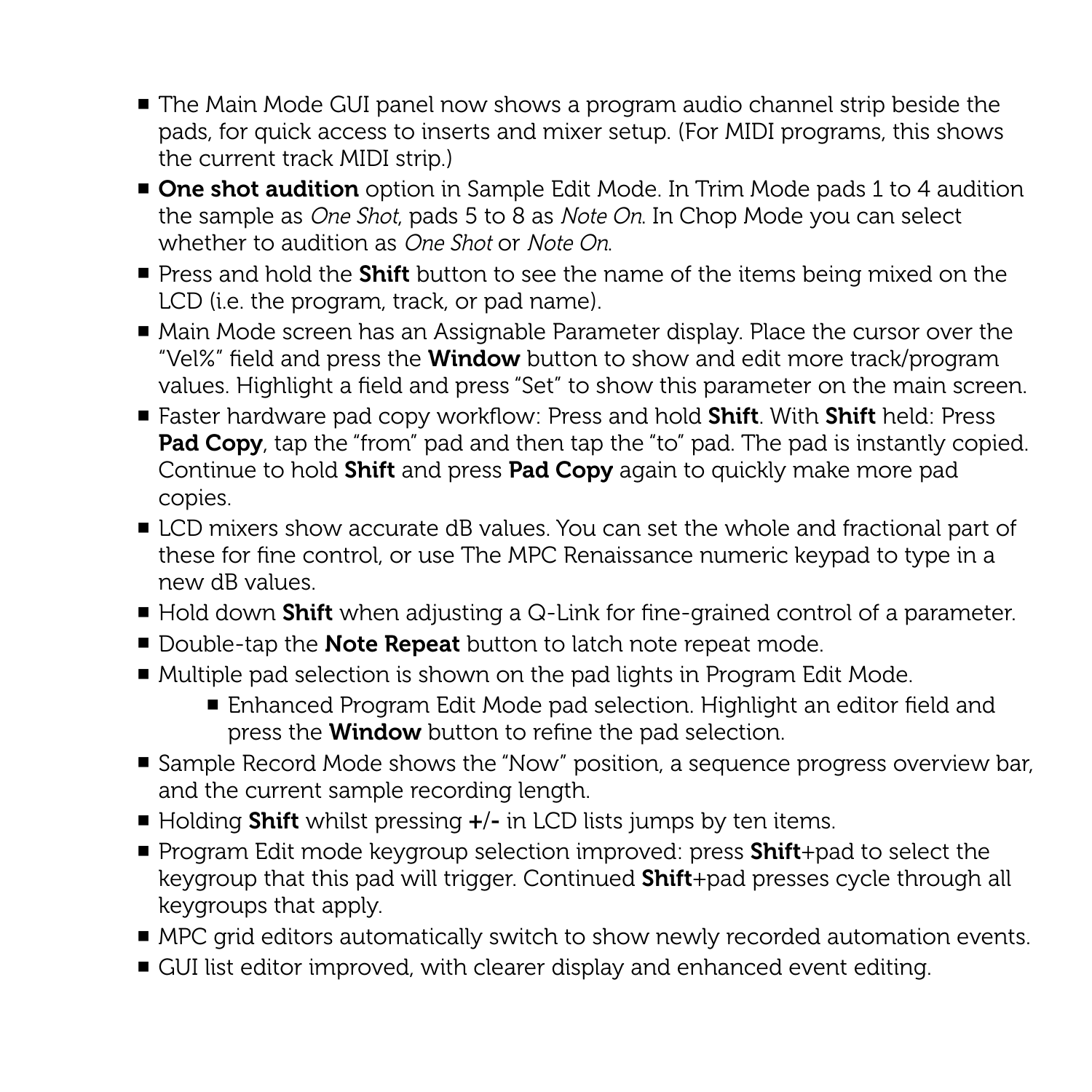- The Main Mode GUI panel now shows a program audio channel strip beside the pads, for quick access to inserts and mixer setup. (For MIDI programs, this shows the current track MIDI strip.)
- One shot audition option in Sample Edit Mode. In Trim Mode pads 1 to 4 audition the sample as *One Shot*, pads 5 to 8 as *Note On*. In Chop Mode you can select whether to audition as *One Shot* or *Note On*.
- Press and hold the Shift button to see the name of the items being mixed on the LCD (i.e. the program, track, or pad name).
- Main Mode screen has an Assignable Parameter display. Place the cursor over the "Vel%" field and press the **Window** button to show and edit more track/program values. Highlight a field and press "Set" to show this parameter on the main screen.
- Faster hardware pad copy workflow: Press and hold Shift. With Shift held: Press **Pad Copy**, tap the "from" pad and then tap the "to" pad. The pad is instantly copied. Continue to hold **Shift** and press **Pad Copy** again to quickly make more pad copies.
- LCD mixers show accurate dB values. You can set the whole and fractional part of these for fine control, or use The MPC Renaissance numeric keypad to type in a new dB values.
- Hold down Shift when adjusting a Q-Link for fine-grained control of a parameter.
- Double-tap the **Note Repeat** button to latch note repeat mode.
- Multiple pad selection is shown on the pad lights in Program Edit Mode.
	- Enhanced Program Edit Mode pad selection. Highlight an editor field and press the **Window** button to refine the pad selection.
- Sample Record Mode shows the "Now" position, a sequence progress overview bar, and the current sample recording length.
- $\blacksquare$  Holding **Shift** whilst pressing  $\boldsymbol{+}/\boldsymbol{-}$  in LCD lists jumps by ten items.
- Program Edit mode keygroup selection improved: press Shift+pad to select the keygroup that this pad will trigger. Continued **Shift**+pad presses cycle through all keygroups that apply.
- MPC grid editors automatically switch to show newly recorded automation events.
- GUI list editor improved, with clearer display and enhanced event editing.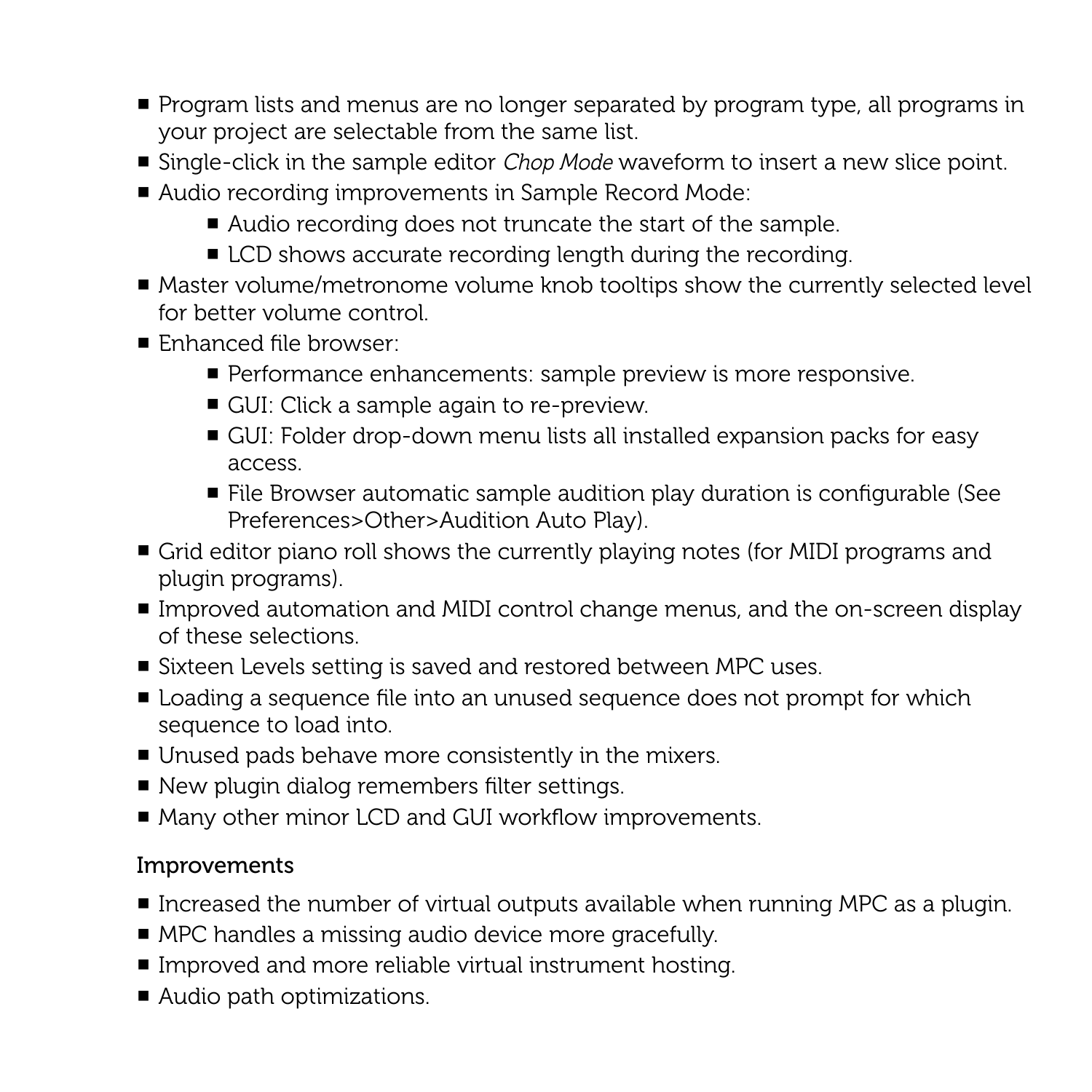- Program lists and menus are no longer separated by program type, all programs in your project are selectable from the same list.
- Single-click in the sample editor *Chop Mode* waveform to insert a new slice point.
- Audio recording improvements in Sample Record Mode:
	- Audio recording does not truncate the start of the sample.
	- LCD shows accurate recording length during the recording.
- Master volume/metronome volume knob tooltips show the currently selected level for better volume control.
- Enhanced file browser:
	- Performance enhancements: sample preview is more responsive.
	- GUI: Click a sample again to re-preview.
	- GUI: Folder drop-down menu lists all installed expansion packs for easy access.
	- File Browser automatic sample audition play duration is configurable (See Preferences>Other>Audition Auto Play).
- Grid editor piano roll shows the currently playing notes (for MIDI programs and plugin programs).
- Improved automation and MIDI control change menus, and the on-screen display of these selections.
- Sixteen Levels setting is saved and restored between MPC uses.
- Loading a sequence file into an unused sequence does not prompt for which sequence to load into.
- Unused pads behave more consistently in the mixers.
- New plugin dialog remembers filter settings.
- Many other minor LCD and GUI workflow improvements.

- Increased the number of virtual outputs available when running MPC as a plugin.
- MPC handles a missing audio device more gracefully.
- Improved and more reliable virtual instrument hosting.
- Audio path optimizations.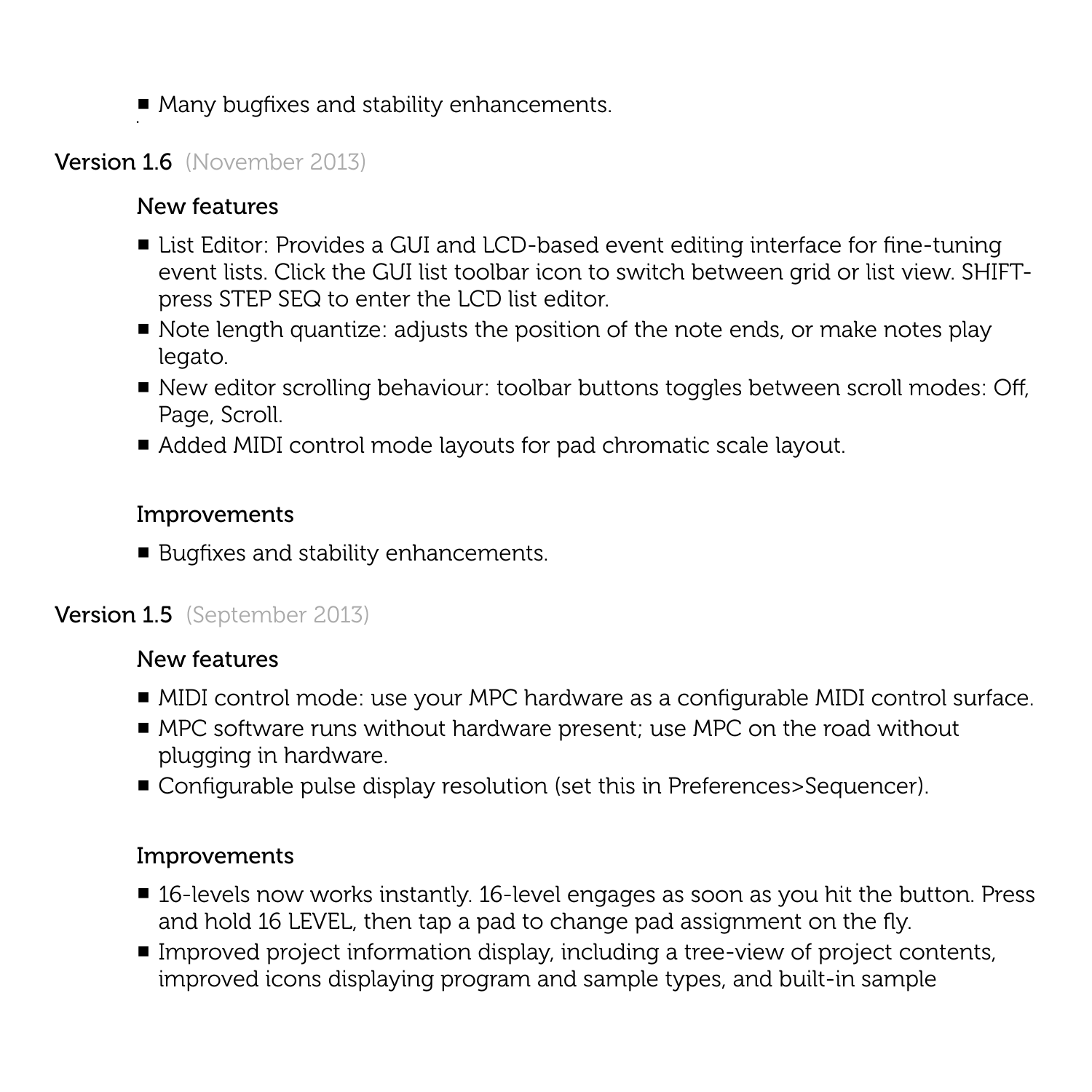■ Many bugfixes and stability enhancements.

## Version 1.6 (November 2013)

## New features

- List Editor: Provides a GUI and LCD-based event editing interface for fine-tuning event lists. Click the GUI list toolbar icon to switch between grid or list view. SHIFTpress STEP SEQ to enter the LCD list editor.
- Note length quantize: adjusts the position of the note ends, or make notes play legato.
- New editor scrolling behaviour: toolbar buttons toggles between scroll modes: Off, Page, Scroll.
- Added MIDI control mode layouts for pad chromatic scale layout.

#### Improvements

■ Bugfixes and stability enhancements.

# Version 1.5 (September 2013)

## New features

- MIDI control mode: use your MPC hardware as a configurable MIDI control surface.
- MPC software runs without hardware present; use MPC on the road without plugging in hardware.
- Configurable pulse display resolution (set this in Preferences>Sequencer).

- 16-levels now works instantly. 16-level engages as soon as you hit the button. Press and hold 16 LEVEL, then tap a pad to change pad assignment on the fly.
- Improved project information display, including a tree-view of project contents, improved icons displaying program and sample types, and built-in sample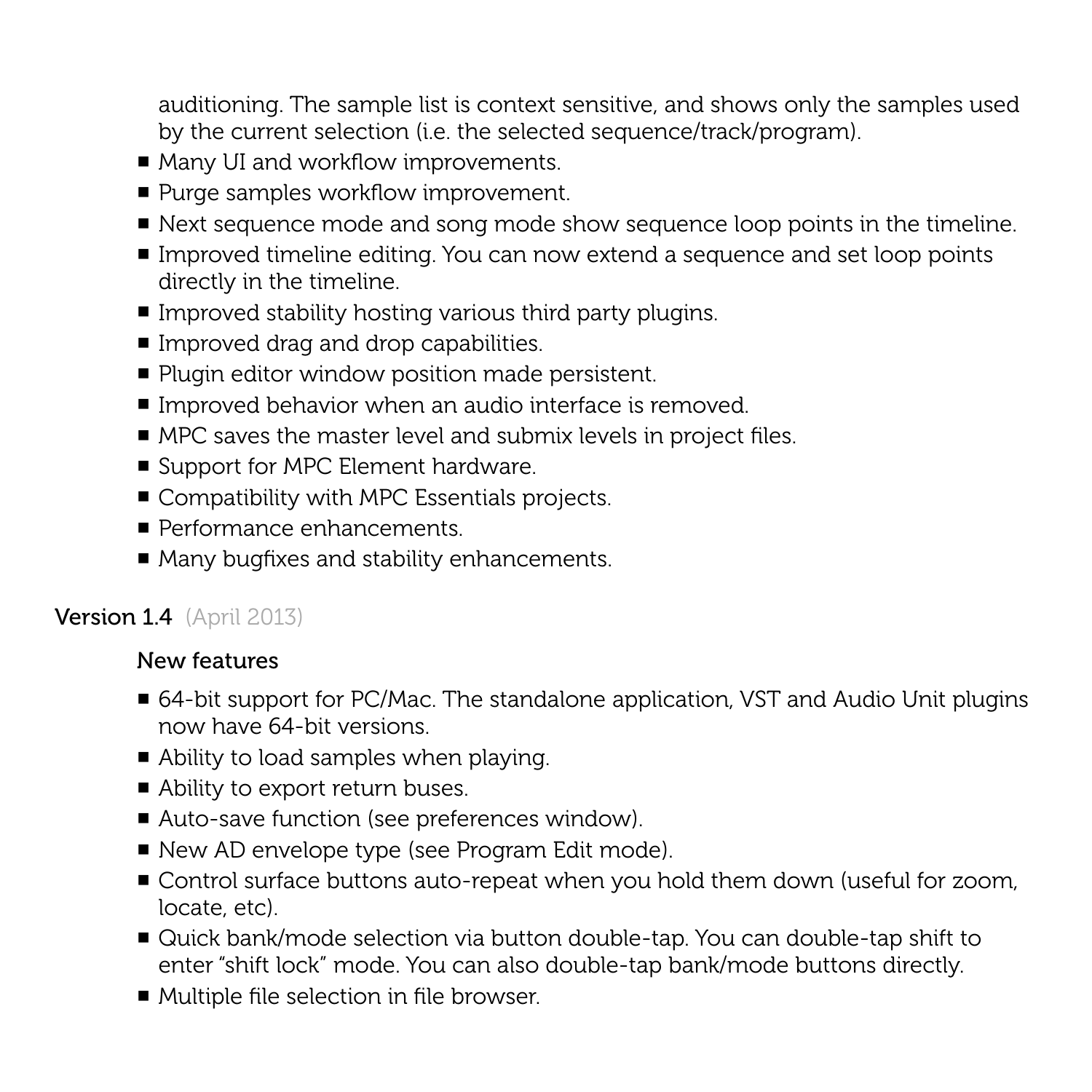auditioning. The sample list is context sensitive, and shows only the samples used by the current selection (i.e. the selected sequence/track/program).

- Many UI and workflow improvements.
- Purge samples workflow improvement.
- Next sequence mode and song mode show sequence loop points in the timeline.
- Improved timeline editing. You can now extend a sequence and set loop points directly in the timeline.
- Improved stability hosting various third party plugins.
- Improved drag and drop capabilities.
- Plugin editor window position made persistent.
- Improved behavior when an audio interface is removed.
- MPC saves the master level and submix levels in project files.
- Support for MPC Element hardware.
- Compatibility with MPC Essentials projects.
- Performance enhancements.
- Many bugfixes and stability enhancements.

# Version 1.4 (April 2013)

- 64-bit support for PC/Mac. The standalone application, VST and Audio Unit plugins now have 64-bit versions.
- Ability to load samples when playing.
- Ability to export return buses.
- Auto-save function (see preferences window).
- New AD envelope type (see Program Edit mode).
- Control surface buttons auto-repeat when you hold them down (useful for zoom, locate, etc).
- Quick bank/mode selection via button double-tap. You can double-tap shift to enter "shift lock" mode. You can also double-tap bank/mode buttons directly.
- Multiple file selection in file browser.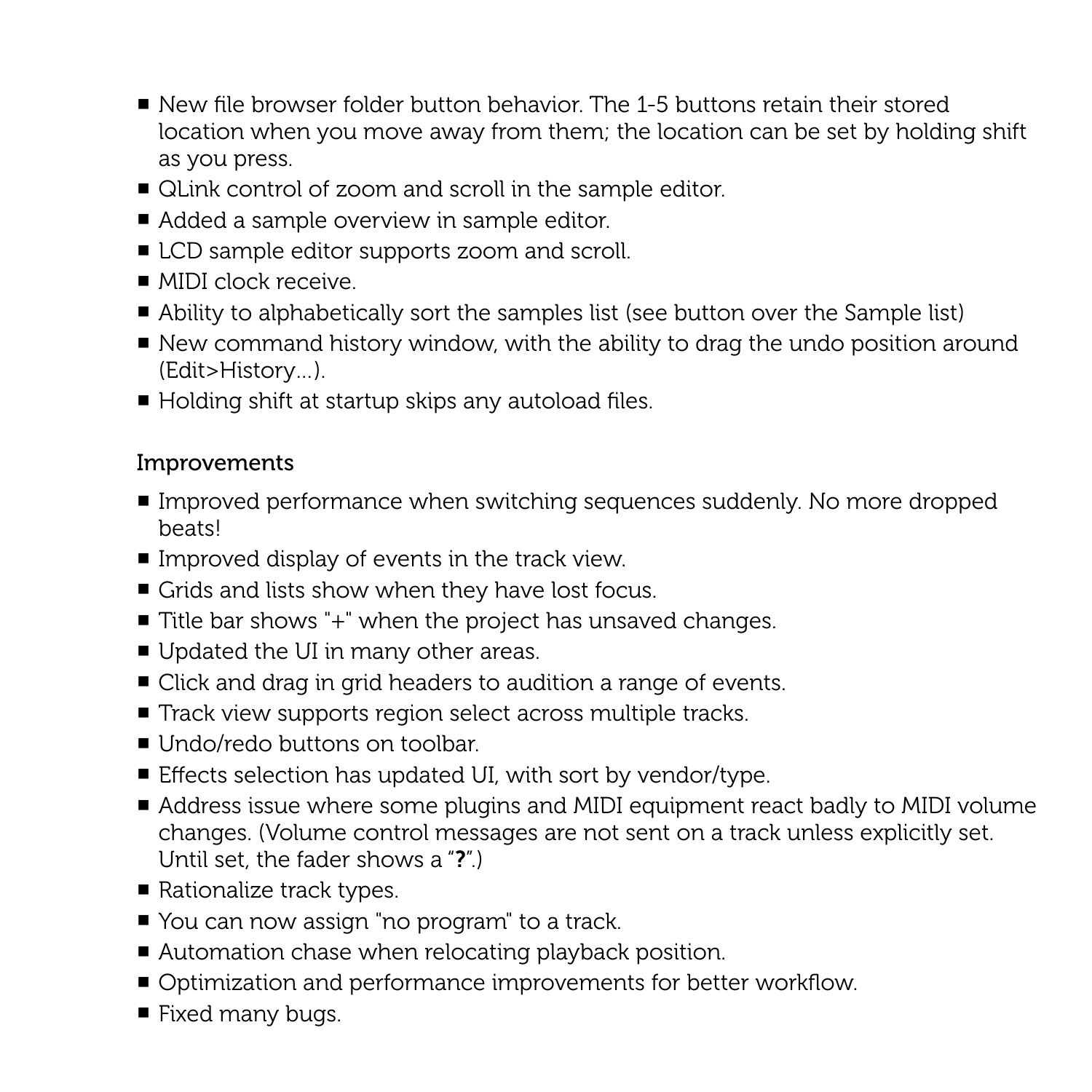- New file browser folder button behavior. The 1-5 buttons retain their stored location when you move away from them; the location can be set by holding shift as you press.
- QLink control of zoom and scroll in the sample editor.
- Added a sample overview in sample editor.
- LCD sample editor supports zoom and scroll.
- MIDI clock receive.
- Ability to alphabetically sort the samples list (see button over the Sample list)
- New command history window, with the ability to drag the undo position around (Edit>History…).
- Holding shift at startup skips any autoload files.

- Improved performance when switching sequences suddenly. No more dropped beats!
- $\blacksquare$  Improved display of events in the track view.
- Grids and lists show when they have lost focus.
- Title bar shows "+" when the project has unsaved changes.
- Updated the UI in many other areas.
- Click and drag in grid headers to audition a range of events.
- Track view supports region select across multiple tracks.
- Undo/redo buttons on toolbar.
- Effects selection has updated UI, with sort by vendor/type.
- Address issue where some plugins and MIDI equipment react badly to MIDI volume changes. (Volume control messages are not sent on a track unless explicitly set. Until set, the fader shows a "?".)
- Rationalize track types.
- You can now assign "no program" to a track.
- Automation chase when relocating playback position.
- Optimization and performance improvements for better workflow.
- Fixed many bugs.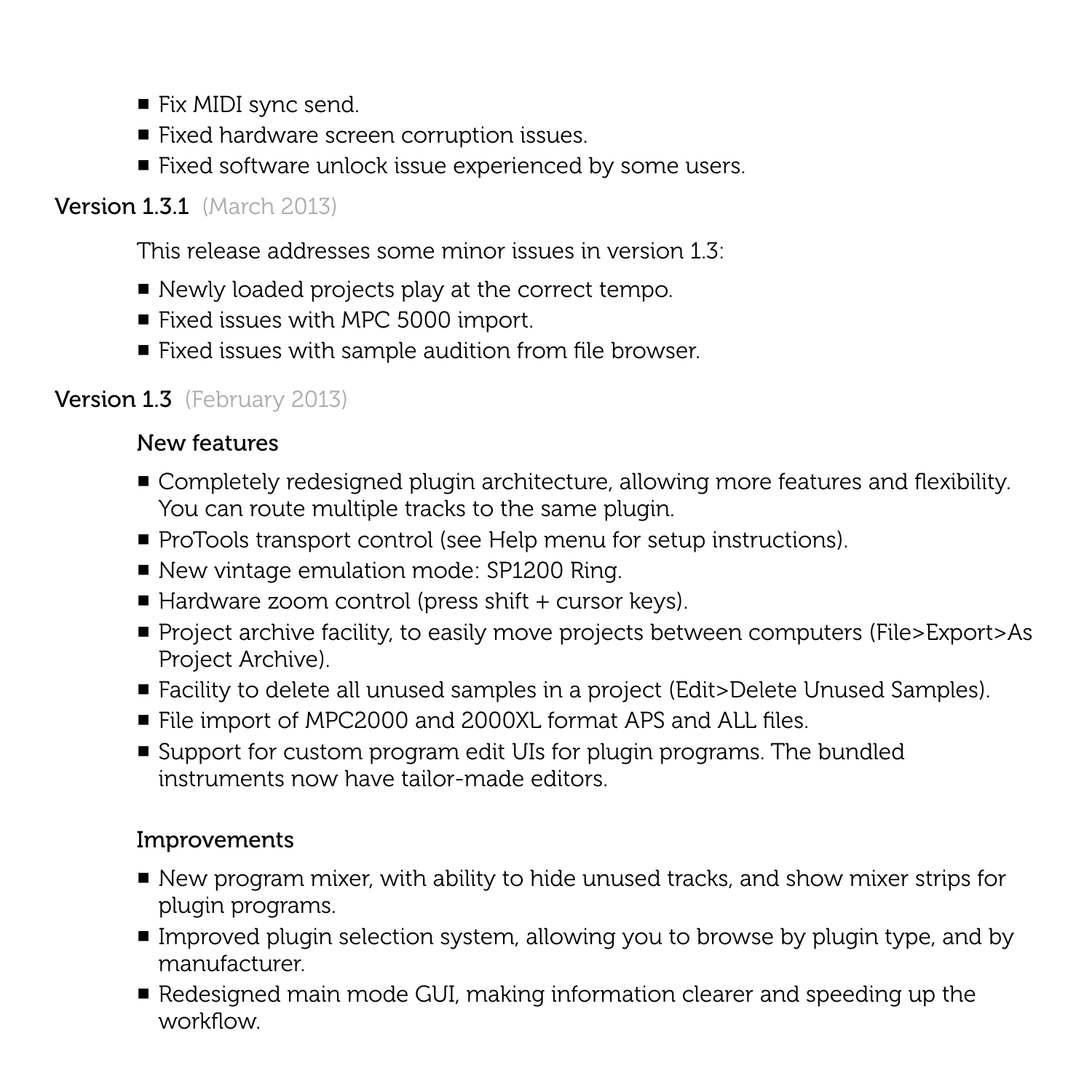- Fix MIDI sync send.
- Fixed hardware screen corruption issues.
- Fixed software unlock issue experienced by some users.

# **Version 1.3.1** (March 2013)

This release addresses some minor issues in version 1.3:

- Newly loaded projects play at the correct tempo.
- Fixed issues with MPC 5000 import.
- Fixed issues with sample audition from file browser.

# **Version 1.3** (February 2013)

# New features

- Completely redesigned plugin architecture, allowing more features and flexibility. You can route multiple tracks to the same plugin.
- ProTools transport control (see Help menu for setup instructions).
- New vintage emulation mode: SP1200 Ring.
- $\blacksquare$  Hardware zoom control (press shift + cursor keys).
- Project archive facility, to easily move projects between computers (File>Export>As Project Archive).
- Facility to delete all unused samples in a project (Edit>Delete Unused Samples).
- File import of MPC2000 and 2000XL format APS and ALL files.
- Support for custom program edit UIs for plugin programs. The bundled instruments now have tailor-made editors.

- New program mixer, with ability to hide unused tracks, and show mixer strips for plugin programs.
- Improved plugin selection system, allowing you to browse by plugin type, and by manufacturer.
- Redesigned main mode GUI, making information clearer and speeding up the workflow.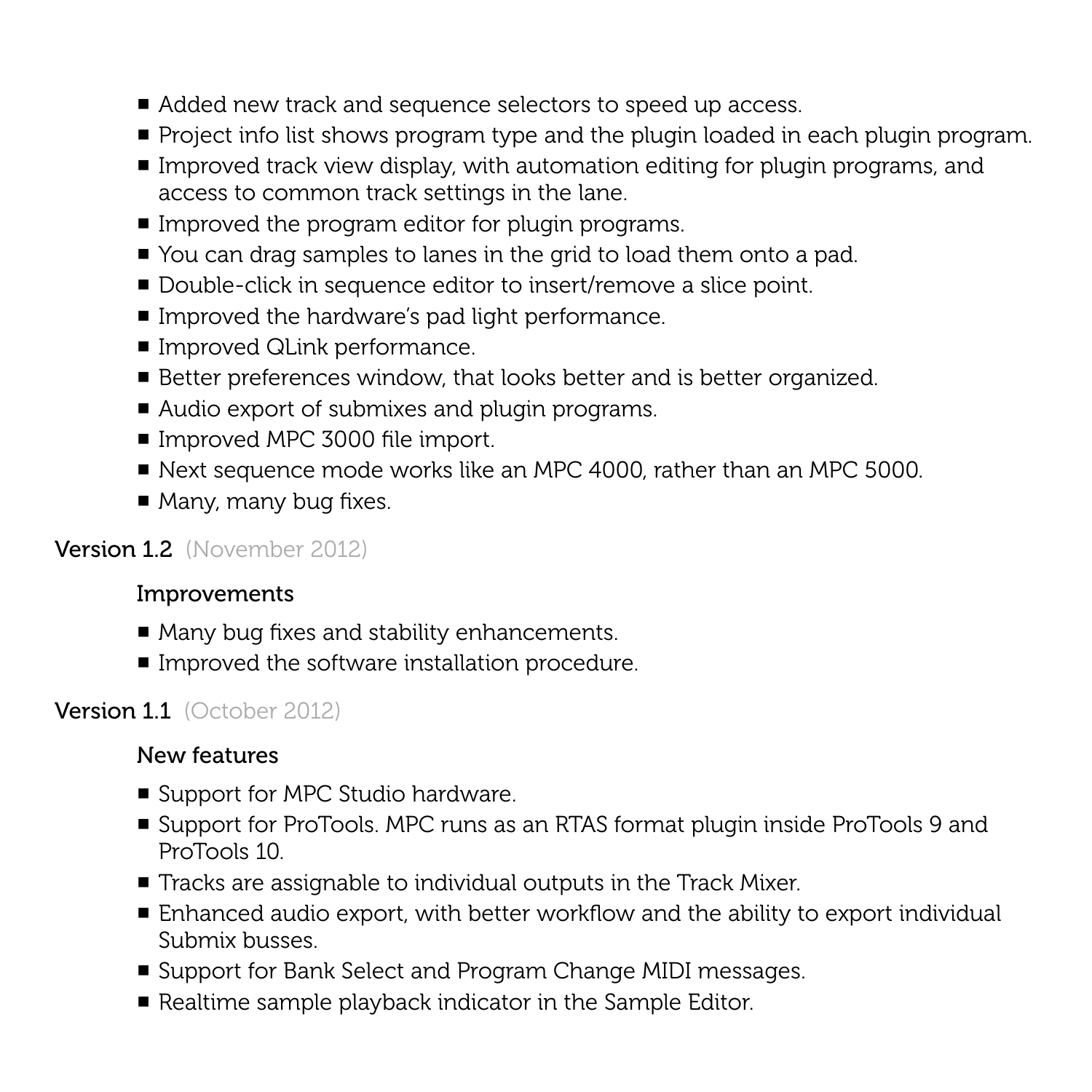- Added new track and sequence selectors to speed up access.
- Project info list shows program type and the plugin loaded in each plugin program.
- Improved track view display, with automation editing for plugin programs, and access to common track settings in the lane.
- Improved the program editor for plugin programs.
- You can drag samples to lanes in the grid to load them onto a pad.
- Double-click in sequence editor to insert/remove a slice point.
- Improved the hardware's pad light performance.
- Improved QLink performance.
- Better preferences window, that looks better and is better organized.
- Audio export of submixes and plugin programs.
- Improved MPC 3000 file import.
- Next sequence mode works like an MPC 4000, rather than an MPC 5000.
- $\blacksquare$  Many, many bug fixes.

# Version 1.2 (November 2012)

## Improvements

- Many bug fixes and stability enhancements.
- Improved the software installation procedure.

# Version 1.1 (October 2012)

- Support for MPC Studio hardware.
- Support for ProTools. MPC runs as an RTAS format plugin inside ProTools 9 and ProTools 10.
- Tracks are assignable to individual outputs in the Track Mixer.
- Enhanced audio export, with better workflow and the ability to export individual Submix busses.
- Support for Bank Select and Program Change MIDI messages.
- Realtime sample playback indicator in the Sample Editor.